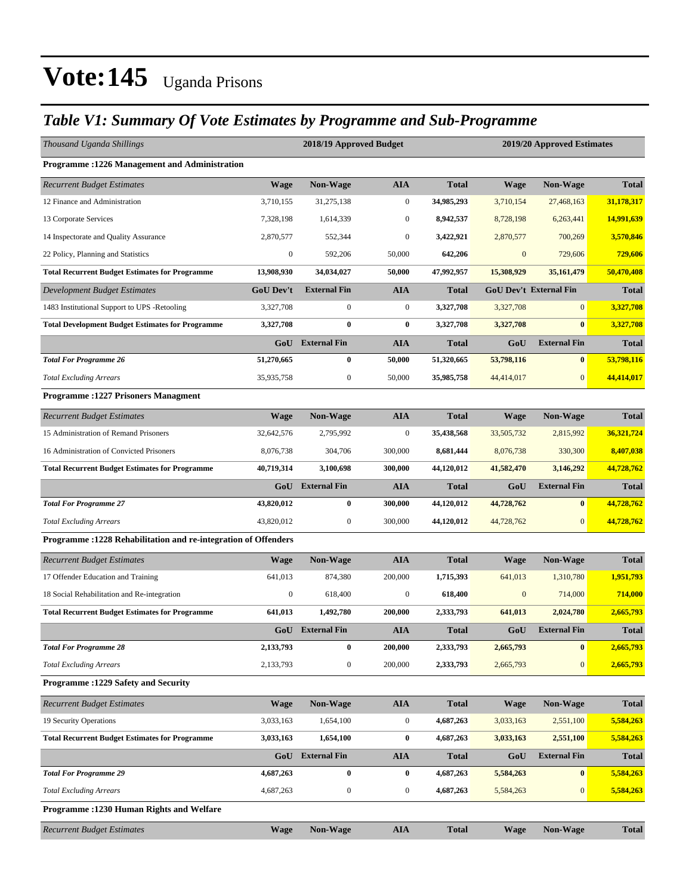### *Table V1: Summary Of Vote Estimates by Programme and Sub-Programme*

| Thousand Uganda Shillings                                       |                  | 2018/19 Approved Budget |                  |              | 2019/20 Approved Estimates    |                     |              |  |
|-----------------------------------------------------------------|------------------|-------------------------|------------------|--------------|-------------------------------|---------------------|--------------|--|
| <b>Programme: 1226 Management and Administration</b>            |                  |                         |                  |              |                               |                     |              |  |
| <b>Recurrent Budget Estimates</b>                               | <b>Wage</b>      | Non-Wage                | <b>AIA</b>       | <b>Total</b> | <b>Wage</b>                   | Non-Wage            | <b>Total</b> |  |
| 12 Finance and Administration                                   | 3.710.155        | 31,275,138              | $\mathbf{0}$     | 34,985,293   | 3,710,154                     | 27,468,163          | 31,178,317   |  |
| 13 Corporate Services                                           | 7,328,198        | 1,614,339               | $\boldsymbol{0}$ | 8,942,537    | 8,728,198                     | 6,263,441           | 14,991,639   |  |
| 14 Inspectorate and Quality Assurance                           | 2,870,577        | 552,344                 | $\mathbf{0}$     | 3,422,921    | 2,870,577                     | 700,269             | 3,570,846    |  |
| 22 Policy, Planning and Statistics                              | $\boldsymbol{0}$ | 592,206                 | 50,000           | 642,206      | $\boldsymbol{0}$              | 729,606             | 729,606      |  |
| <b>Total Recurrent Budget Estimates for Programme</b>           | 13,908,930       | 34,034,027              | 50,000           | 47,992,957   | 15,308,929                    | 35,161,479          | 50,470,408   |  |
| <b>Development Budget Estimates</b>                             | <b>GoU Dev't</b> | <b>External Fin</b>     | <b>AIA</b>       | <b>Total</b> | <b>GoU Dev't External Fin</b> |                     | <b>Total</b> |  |
| 1483 Institutional Support to UPS -Retooling                    | 3,327,708        | $\boldsymbol{0}$        | $\mathbf{0}$     | 3,327,708    | 3,327,708                     | $\overline{0}$      | 3,327,708    |  |
| <b>Total Development Budget Estimates for Programme</b>         | 3,327,708        | $\bf{0}$                | $\bf{0}$         | 3,327,708    | 3,327,708                     | $\mathbf{0}$        | 3,327,708    |  |
|                                                                 | GoU              | <b>External Fin</b>     | AIA              | <b>Total</b> | GoU                           | <b>External Fin</b> | <b>Total</b> |  |
| <b>Total For Programme 26</b>                                   | 51,270,665       | $\bf{0}$                | 50,000           | 51,320,665   | 53,798,116                    | $\bf{0}$            | 53,798,116   |  |
| <b>Total Excluding Arrears</b>                                  | 35,935,758       | $\boldsymbol{0}$        | 50,000           | 35,985,758   | 44,414,017                    | $\mathbf{0}$        | 44,414,017   |  |
| <b>Programme: 1227 Prisoners Managment</b>                      |                  |                         |                  |              |                               |                     |              |  |
| <b>Recurrent Budget Estimates</b>                               | <b>Wage</b>      | <b>Non-Wage</b>         | <b>AIA</b>       | <b>Total</b> | <b>Wage</b>                   | <b>Non-Wage</b>     | <b>Total</b> |  |
| 15 Administration of Remand Prisoners                           | 32,642,576       | 2.795.992               | $\boldsymbol{0}$ | 35,438,568   | 33,505,732                    | 2,815,992           | 36,321,724   |  |
| 16 Administration of Convicted Prisoners                        | 8,076,738        | 304,706                 | 300,000          | 8,681,444    | 8,076,738                     | 330,300             | 8,407,038    |  |
| <b>Total Recurrent Budget Estimates for Programme</b>           | 40,719,314       | 3,100,698               | 300,000          | 44,120,012   | 41,582,470                    | 3,146,292           | 44,728,762   |  |
|                                                                 | GoU              | <b>External Fin</b>     | <b>AIA</b>       | <b>Total</b> | GoU                           | <b>External Fin</b> | <b>Total</b> |  |
| <b>Total For Programme 27</b>                                   | 43,820,012       | $\bf{0}$                | 300,000          | 44,120,012   | 44,728,762                    | $\bf{0}$            | 44,728,762   |  |
| <b>Total Excluding Arrears</b>                                  | 43,820,012       | $\mathbf{0}$            | 300,000          | 44,120,012   | 44,728,762                    | $\mathbf{0}$        | 44,728,762   |  |
| Programme : 1228 Rehabilitation and re-integration of Offenders |                  |                         |                  |              |                               |                     |              |  |
| <b>Recurrent Budget Estimates</b>                               | Wage             | Non-Wage                | AIA              | <b>Total</b> | Wage                          | <b>Non-Wage</b>     | <b>Total</b> |  |
| 17 Offender Education and Training                              | 641,013          | 874,380                 | 200,000          | 1,715,393    | 641,013                       | 1,310,780           | 1,951,793    |  |
| 18 Social Rehabilitation and Re-integration                     | $\mathbf{0}$     | 618,400                 | $\boldsymbol{0}$ | 618,400      | $\mathbf{0}$                  | 714,000             | 714,000      |  |
| <b>Total Recurrent Budget Estimates for Programme</b>           | 641,013          | 1,492,780               | 200,000          | 2,333,793    | 641,013                       | 2,024,780           | 2,665,793    |  |
|                                                                 | GoU              | <b>External Fin</b>     | <b>AIA</b>       | <b>Total</b> | GoU                           | <b>External Fin</b> | <b>Total</b> |  |
| <b>Total For Programme 28</b>                                   | 2,133,793        | $\bf{0}$                | 200,000          | 2,333,793    | 2,665,793                     | $\bf{0}$            | 2,665,793    |  |
| <b>Total Excluding Arrears</b>                                  | 2,133,793        | $\boldsymbol{0}$        | 200,000          | 2,333,793    | 2,665,793                     | $\mathbf{0}$        | 2,665,793    |  |
| Programme : 1229 Safety and Security                            |                  |                         |                  |              |                               |                     |              |  |
| <b>Recurrent Budget Estimates</b>                               | <b>Wage</b>      | Non-Wage                | <b>AIA</b>       | <b>Total</b> | <b>Wage</b>                   | Non-Wage            | <b>Total</b> |  |
| 19 Security Operations                                          | 3,033,163        | 1,654,100               | 0                | 4,687,263    | 3,033,163                     | 2,551,100           | 5,584,263    |  |
| <b>Total Recurrent Budget Estimates for Programme</b>           | 3,033,163        | 1,654,100               | 0                | 4,687,263    | 3,033,163                     | 2,551,100           | 5,584,263    |  |
|                                                                 | GoU              | <b>External Fin</b>     | AIA              | <b>Total</b> | GoU                           | <b>External Fin</b> | <b>Total</b> |  |
| <b>Total For Programme 29</b>                                   | 4,687,263        | $\bf{0}$                | 0                | 4,687,263    | 5,584,263                     | $\vert 0 \vert$     | 5,584,263    |  |
| <b>Total Excluding Arrears</b>                                  | 4,687,263        | $\boldsymbol{0}$        | $\boldsymbol{0}$ | 4,687,263    | 5,584,263                     | $\mathbf{0}$        | 5,584,263    |  |
| <b>Programme: 1230 Human Rights and Welfare</b>                 |                  |                         |                  |              |                               |                     |              |  |
| <b>Recurrent Budget Estimates</b>                               | <b>Wage</b>      | <b>Non-Wage</b>         | AIA              | <b>Total</b> | <b>Wage</b>                   | <b>Non-Wage</b>     | <b>Total</b> |  |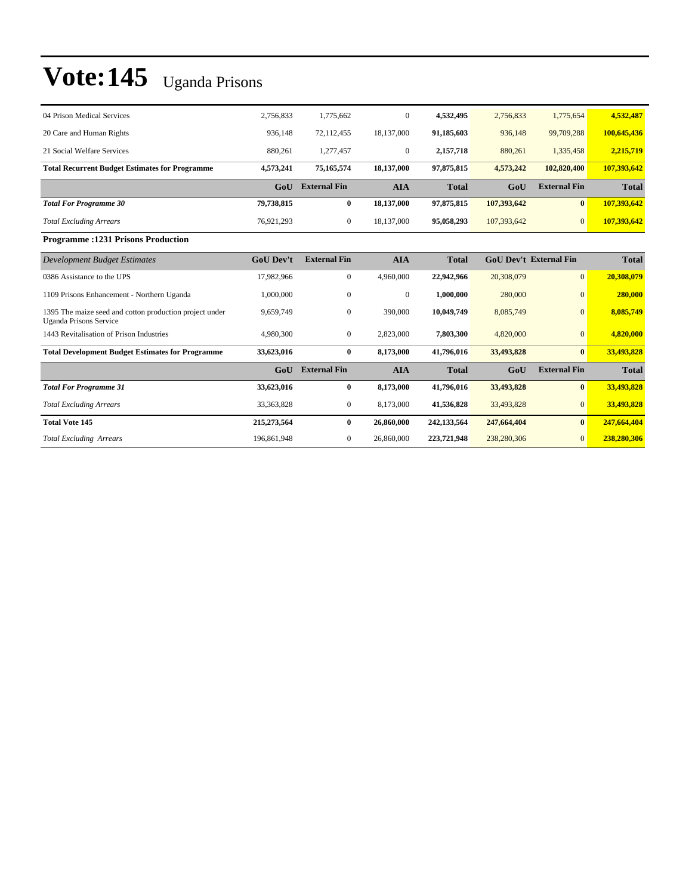| 04 Prison Medical Services                                                               | 2,756,833        | 1.775.662           | $\mathbf{0}$ | 4.532.495    | 2,756,833   | 1,775,654                     | 4,532,487    |
|------------------------------------------------------------------------------------------|------------------|---------------------|--------------|--------------|-------------|-------------------------------|--------------|
| 20 Care and Human Rights                                                                 | 936,148          | 72,112,455          | 18,137,000   | 91,185,603   | 936,148     | 99,709,288                    | 100,645,436  |
| 21 Social Welfare Services                                                               | 880,261          | 1,277,457           | $\mathbf{0}$ | 2,157,718    | 880,261     | 1,335,458                     | 2,215,719    |
| <b>Total Recurrent Budget Estimates for Programme</b>                                    | 4,573,241        | 75,165,574          | 18,137,000   | 97,875,815   | 4,573,242   | 102,820,400                   | 107,393,642  |
|                                                                                          | GoU              | <b>External Fin</b> | <b>AIA</b>   | <b>Total</b> | GoU         | <b>External Fin</b>           | <b>Total</b> |
| <b>Total For Programme 30</b>                                                            | 79,738,815       | $\bf{0}$            | 18,137,000   | 97,875,815   | 107,393,642 | $\mathbf{0}$                  | 107,393,642  |
| <b>Total Excluding Arrears</b>                                                           | 76,921,293       | $\boldsymbol{0}$    | 18,137,000   | 95,058,293   | 107,393,642 | $\overline{0}$                | 107,393,642  |
| <b>Programme: 1231 Prisons Production</b>                                                |                  |                     |              |              |             |                               |              |
| <b>Development Budget Estimates</b>                                                      | <b>GoU Dev't</b> | <b>External Fin</b> | <b>AIA</b>   | <b>Total</b> |             | <b>GoU Dev't External Fin</b> | <b>Total</b> |
| 0386 Assistance to the UPS                                                               | 17,982,966       | $\boldsymbol{0}$    | 4,960,000    | 22,942,966   | 20,308,079  | $\overline{0}$                | 20,308,079   |
| 1109 Prisons Enhancement - Northern Uganda                                               | 1,000,000        | $\mathbf{0}$        | $\mathbf{0}$ | 1.000.000    | 280,000     | $\Omega$                      | 280,000      |
| 1395 The maize seed and cotton production project under<br><b>Uganda Prisons Service</b> | 9,659,749        | $\mathbf{0}$        | 390,000      | 10,049,749   | 8,085,749   | $\Omega$                      | 8,085,749    |
| 1443 Revitalisation of Prison Industries                                                 | 4,980,300        | $\mathbf{0}$        | 2,823,000    | 7,803,300    | 4,820,000   | $\mathbf{0}$                  | 4,820,000    |
| <b>Total Development Budget Estimates for Programme</b>                                  | 33,623,016       | $\bf{0}$            | 8,173,000    | 41,796,016   | 33,493,828  | $\bf{0}$                      | 33,493,828   |
|                                                                                          | GoU              | <b>External Fin</b> | <b>AIA</b>   | <b>Total</b> | GoU         | <b>External Fin</b>           | <b>Total</b> |
| <b>Total For Programme 31</b>                                                            | 33,623,016       | $\bf{0}$            | 8,173,000    | 41,796,016   | 33,493,828  | $\bf{0}$                      | 33,493,828   |
| <b>Total Excluding Arrears</b>                                                           | 33, 363, 828     | $\boldsymbol{0}$    | 8,173,000    | 41,536,828   | 33,493,828  | $\mathbf{0}$                  | 33,493,828   |
| <b>Total Vote 145</b>                                                                    | 215,273,564      | $\bf{0}$            | 26,860,000   | 242,133,564  | 247,664,404 | $\mathbf{0}$                  | 247,664,404  |
| <b>Total Excluding Arrears</b>                                                           | 196,861,948      | $\mathbf{0}$        | 26,860,000   | 223,721,948  | 238,280,306 | $\Omega$                      | 238,280,306  |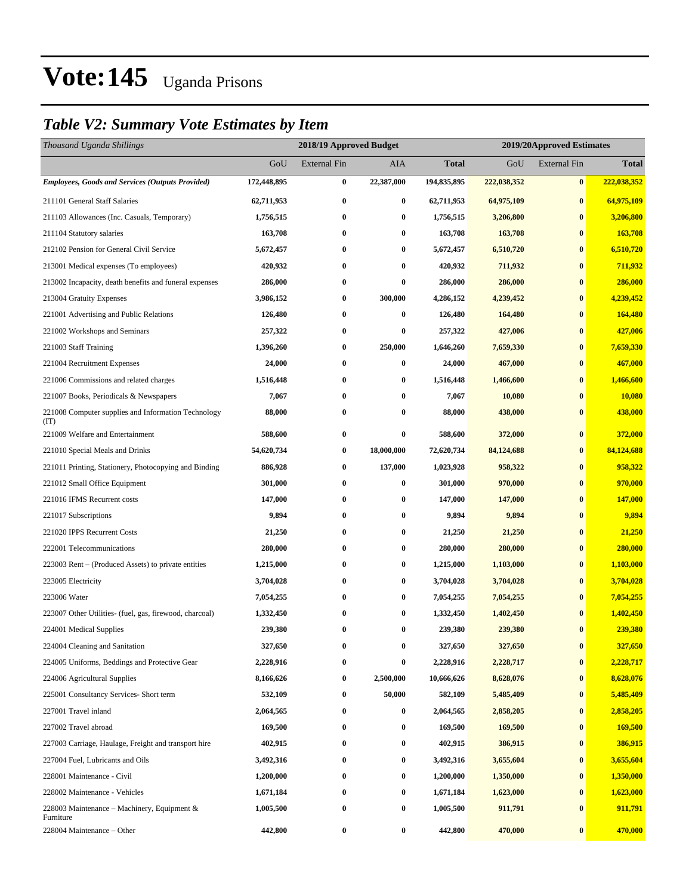### *Table V2: Summary Vote Estimates by Item*

| Thousand Uganda Shillings                                   |             | 2018/19 Approved Budget |            |              |             | 2019/20Approved Estimates |              |
|-------------------------------------------------------------|-------------|-------------------------|------------|--------------|-------------|---------------------------|--------------|
|                                                             | GoU         | <b>External Fin</b>     | AIA        | <b>Total</b> | GoU         | <b>External Fin</b>       | <b>Total</b> |
| <b>Employees, Goods and Services (Outputs Provided)</b>     | 172,448,895 | $\bf{0}$                | 22,387,000 | 194,835,895  | 222,038,352 | $\bf{0}$                  | 222,038,352  |
| 211101 General Staff Salaries                               | 62,711,953  | $\bf{0}$                | $\bf{0}$   | 62,711,953   | 64,975,109  | $\bf{0}$                  | 64,975,109   |
| 211103 Allowances (Inc. Casuals, Temporary)                 | 1,756,515   | 0                       | $\bf{0}$   | 1,756,515    | 3,206,800   | $\bf{0}$                  | 3,206,800    |
| 211104 Statutory salaries                                   | 163,708     | 0                       | $\bf{0}$   | 163,708      | 163,708     | $\bf{0}$                  | 163,708      |
| 212102 Pension for General Civil Service                    | 5,672,457   | $\bf{0}$                | $\bf{0}$   | 5,672,457    | 6,510,720   | $\bf{0}$                  | 6,510,720    |
| 213001 Medical expenses (To employees)                      | 420,932     | $\bf{0}$                | $\bf{0}$   | 420,932      | 711,932     | $\bf{0}$                  | 711,932      |
| 213002 Incapacity, death benefits and funeral expenses      | 286,000     | $\bf{0}$                | $\bf{0}$   | 286,000      | 286,000     | $\bf{0}$                  | 286,000      |
| 213004 Gratuity Expenses                                    | 3,986,152   | 0                       | 300,000    | 4,286,152    | 4,239,452   | $\bf{0}$                  | 4,239,452    |
| 221001 Advertising and Public Relations                     | 126,480     | $\boldsymbol{0}$        | $\bf{0}$   | 126,480      | 164,480     | $\bf{0}$                  | 164,480      |
| 221002 Workshops and Seminars                               | 257,322     | $\bf{0}$                | $\bf{0}$   | 257,322      | 427,006     | $\bf{0}$                  | 427,006      |
| 221003 Staff Training                                       | 1,396,260   | $\bf{0}$                | 250,000    | 1,646,260    | 7,659,330   | $\bf{0}$                  | 7,659,330    |
| 221004 Recruitment Expenses                                 | 24,000      | $\bf{0}$                | 0          | 24,000       | 467,000     | $\bf{0}$                  | 467,000      |
| 221006 Commissions and related charges                      | 1,516,448   | 0                       | $\bf{0}$   | 1,516,448    | 1,466,600   | $\bf{0}$                  | 1,466,600    |
| 221007 Books, Periodicals & Newspapers                      | 7,067       | $\bf{0}$                | $\bf{0}$   | 7,067        | 10,080      | $\bf{0}$                  | 10,080       |
| 221008 Computer supplies and Information Technology<br>(TT) | 88,000      | $\bf{0}$                | 0          | 88,000       | 438,000     | $\bf{0}$                  | 438,000      |
| 221009 Welfare and Entertainment                            | 588,600     | $\boldsymbol{0}$        | $\bf{0}$   | 588,600      | 372,000     | $\bf{0}$                  | 372,000      |
| 221010 Special Meals and Drinks                             | 54,620,734  | $\bf{0}$                | 18,000,000 | 72,620,734   | 84,124,688  | $\bf{0}$                  | 84,124,688   |
| 221011 Printing, Stationery, Photocopying and Binding       | 886,928     | $\bf{0}$                | 137,000    | 1,023,928    | 958,322     | $\bf{0}$                  | 958,322      |
| 221012 Small Office Equipment                               | 301,000     | $\bf{0}$                | $\bf{0}$   | 301,000      | 970,000     | $\bf{0}$                  | 970,000      |
| 221016 IFMS Recurrent costs                                 | 147,000     | $\boldsymbol{0}$        | $\bf{0}$   | 147,000      | 147,000     | $\bf{0}$                  | 147,000      |
| 221017 Subscriptions                                        | 9,894       | 0                       | $\bf{0}$   | 9,894        | 9,894       | $\bf{0}$                  | 9,894        |
| 221020 IPPS Recurrent Costs                                 | 21,250      | 0                       | $\bf{0}$   | 21,250       | 21,250      | $\bf{0}$                  | 21,250       |
| 222001 Telecommunications                                   | 280,000     | $\bf{0}$                | $\bf{0}$   | 280,000      | 280,000     | $\bf{0}$                  | 280,000      |
| 223003 Rent – (Produced Assets) to private entities         | 1,215,000   | 0                       | $\bf{0}$   | 1,215,000    | 1,103,000   | $\bf{0}$                  | 1,103,000    |
| 223005 Electricity                                          | 3,704,028   | $\bf{0}$                | $\bf{0}$   | 3,704,028    | 3,704,028   | $\bf{0}$                  | 3,704,028    |
| 223006 Water                                                | 7,054,255   | 0                       | $\bf{0}$   | 7,054,255    | 7,054,255   | $\bf{0}$                  | 7,054,255    |
| 223007 Other Utilities- (fuel, gas, firewood, charcoal)     | 1,332,450   | 0                       | $\bf{0}$   | 1,332,450    | 1,402,450   | $\bf{0}$                  | 1,402,450    |
| 224001 Medical Supplies                                     | 239,380     | $\bf{0}$                | $\bf{0}$   | 239,380      | 239,380     | $\bf{0}$                  | 239,380      |
| 224004 Cleaning and Sanitation                              | 327,650     | 0                       | $\bf{0}$   | 327,650      | 327,650     | $\bf{0}$                  | 327,650      |
| 224005 Uniforms, Beddings and Protective Gear               | 2,228,916   | $\boldsymbol{0}$        | $\bf{0}$   | 2,228,916    | 2,228,717   | $\bf{0}$                  | 2,228,717    |
| 224006 Agricultural Supplies                                | 8,166,626   | $\bf{0}$                | 2,500,000  | 10,666,626   | 8,628,076   | $\bf{0}$                  | 8,628,076    |
| 225001 Consultancy Services- Short term                     | 532,109     | 0                       | 50,000     | 582,109      | 5,485,409   | $\bf{0}$                  | 5,485,409    |
| 227001 Travel inland                                        | 2,064,565   | $\boldsymbol{0}$        | $\bf{0}$   | 2,064,565    | 2,858,205   | $\boldsymbol{0}$          | 2,858,205    |
| 227002 Travel abroad                                        | 169,500     | $\bf{0}$                | $\bf{0}$   | 169,500      | 169,500     | $\bf{0}$                  | 169,500      |
| 227003 Carriage, Haulage, Freight and transport hire        | 402,915     | $\boldsymbol{0}$        | $\bf{0}$   | 402,915      | 386,915     | $\bf{0}$                  | 386,915      |
| 227004 Fuel, Lubricants and Oils                            | 3,492,316   | $\boldsymbol{0}$        | $\bf{0}$   | 3,492,316    | 3,655,604   | $\bf{0}$                  | 3,655,604    |
| 228001 Maintenance - Civil                                  | 1,200,000   | 0                       | $\bf{0}$   | 1,200,000    | 1,350,000   | $\bf{0}$                  | 1,350,000    |
| 228002 Maintenance - Vehicles                               | 1,671,184   | $\boldsymbol{0}$        | $\bf{0}$   | 1,671,184    | 1,623,000   | $\boldsymbol{0}$          | 1,623,000    |
| 228003 Maintenance – Machinery, Equipment $\&$<br>Furniture | 1,005,500   | $\bf{0}$                | $\bf{0}$   | 1,005,500    | 911,791     | $\bf{0}$                  | 911,791      |
| 228004 Maintenance - Other                                  | 442,800     | $\bf{0}$                | $\bf{0}$   | 442,800      | 470,000     | $\bf{0}$                  | 470,000      |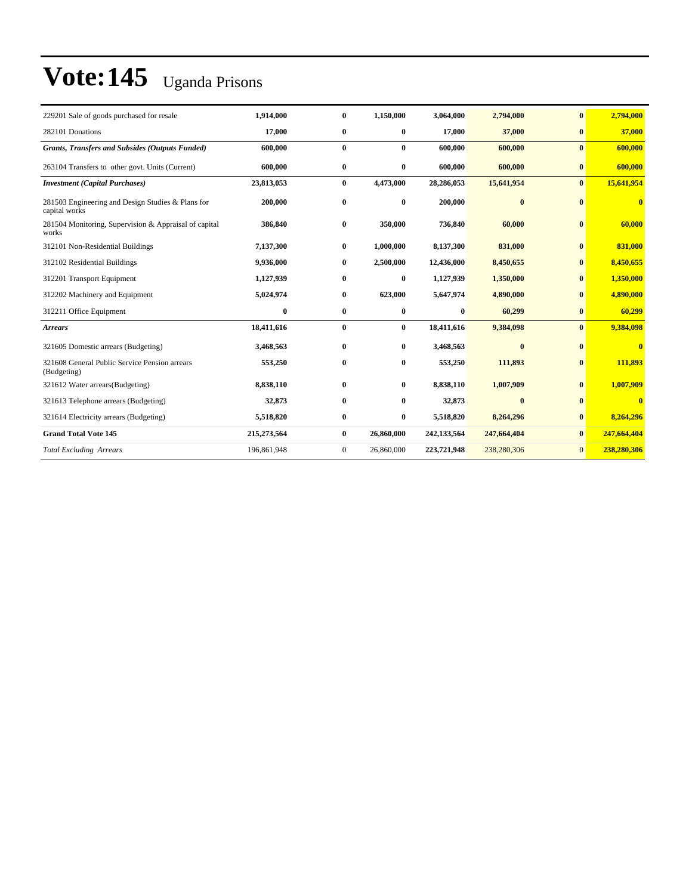| 229201 Sale of goods purchased for resale                          | 1,914,000   | $\bf{0}$     | 1,150,000  | 3,064,000   | 2,794,000   | $\mathbf{0}$   | 2,794,000   |
|--------------------------------------------------------------------|-------------|--------------|------------|-------------|-------------|----------------|-------------|
| 282101 Donations                                                   | 17,000      | $\bf{0}$     | $\bf{0}$   | 17,000      | 37,000      | $\bf{0}$       | 37,000      |
| <b>Grants, Transfers and Subsides (Outputs Funded)</b>             | 600,000     | $\bf{0}$     | $\bf{0}$   | 600,000     | 600,000     | $\mathbf{0}$   | 600,000     |
| 263104 Transfers to other govt. Units (Current)                    | 600,000     | $\bf{0}$     | $\bf{0}$   | 600,000     | 600,000     | $\bf{0}$       | 600,000     |
| <b>Investment (Capital Purchases)</b>                              | 23,813,053  | $\bf{0}$     | 4,473,000  | 28,286,053  | 15,641,954  | $\mathbf{0}$   | 15,641,954  |
| 281503 Engineering and Design Studies & Plans for<br>capital works | 200,000     | $\bf{0}$     | $\bf{0}$   | 200,000     | $\bf{0}$    | $\bf{0}$       | $\bf{0}$    |
| 281504 Monitoring, Supervision & Appraisal of capital<br>works     | 386,840     | $\bf{0}$     | 350,000    | 736,840     | 60,000      | $\bf{0}$       | 60,000      |
| 312101 Non-Residential Buildings                                   | 7,137,300   | $\bf{0}$     | 1,000,000  | 8,137,300   | 831,000     | $\bf{0}$       | 831,000     |
| 312102 Residential Buildings                                       | 9,936,000   | $\mathbf{0}$ | 2,500,000  | 12,436,000  | 8,450,655   | $\bf{0}$       | 8,450,655   |
| 312201 Transport Equipment                                         | 1,127,939   | $\bf{0}$     | $\bf{0}$   | 1,127,939   | 1,350,000   | $\bf{0}$       | 1,350,000   |
| 312202 Machinery and Equipment                                     | 5,024,974   | $\bf{0}$     | 623,000    | 5,647,974   | 4,890,000   | $\bf{0}$       | 4,890,000   |
| 312211 Office Equipment                                            | 0           | $\bf{0}$     | $\bf{0}$   | 0           | 60,299      | $\bf{0}$       | 60,299      |
| <b>Arrears</b>                                                     | 18,411,616  | $\bf{0}$     | $\bf{0}$   | 18,411,616  | 9,384,098   | $\mathbf{0}$   | 9,384,098   |
| 321605 Domestic arrears (Budgeting)                                | 3,468,563   | $\bf{0}$     | $\bf{0}$   | 3,468,563   | $\bf{0}$    | $\bf{0}$       | $\bf{0}$    |
| 321608 General Public Service Pension arrears<br>(Budgeting)       | 553,250     | $\bf{0}$     | $\bf{0}$   | 553,250     | 111,893     | $\bf{0}$       | 111,893     |
| 321612 Water arrears (Budgeting)                                   | 8,838,110   | $\bf{0}$     | $\bf{0}$   | 8,838,110   | 1,007,909   | $\bf{0}$       | 1,007,909   |
| 321613 Telephone arrears (Budgeting)                               | 32,873      | $\bf{0}$     | $\bf{0}$   | 32,873      | $\bf{0}$    | $\bf{0}$       | $\bf{0}$    |
| 321614 Electricity arrears (Budgeting)                             | 5,518,820   | $\bf{0}$     | $\bf{0}$   | 5,518,820   | 8,264,296   | $\bf{0}$       | 8,264,296   |
| <b>Grand Total Vote 145</b>                                        | 215,273,564 | $\bf{0}$     | 26,860,000 | 242,133,564 | 247,664,404 | $\mathbf{0}$   | 247,664,404 |
| <b>Total Excluding Arrears</b>                                     | 196,861,948 | $\mathbf{0}$ | 26,860,000 | 223,721,948 | 238,280,306 | $\overline{0}$ | 238,280,306 |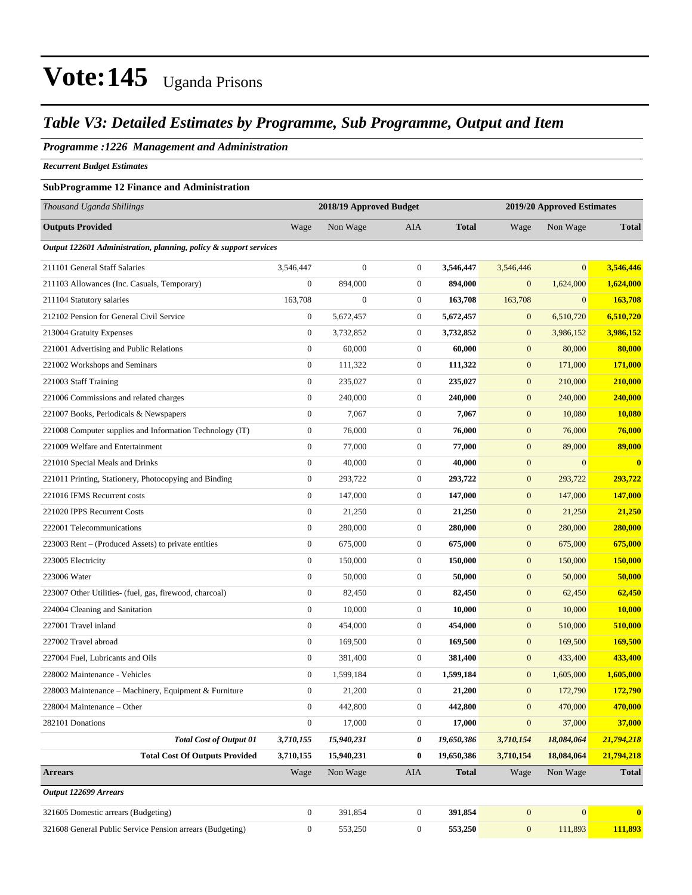### *Table V3: Detailed Estimates by Programme, Sub Programme, Output and Item*

#### *Programme :1226 Management and Administration*

*Recurrent Budget Estimates*

#### **SubProgramme 12 Finance and Administration**

| Thousand Uganda Shillings                                         |                  | 2018/19 Approved Budget |                  |              |                  | 2019/20 Approved Estimates |                         |
|-------------------------------------------------------------------|------------------|-------------------------|------------------|--------------|------------------|----------------------------|-------------------------|
| <b>Outputs Provided</b>                                           | Wage             | Non Wage                | AIA              | <b>Total</b> | Wage             | Non Wage                   | <b>Total</b>            |
| Output 122601 Administration, planning, policy & support services |                  |                         |                  |              |                  |                            |                         |
| 211101 General Staff Salaries                                     | 3,546,447        | $\boldsymbol{0}$        | $\mathbf{0}$     | 3,546,447    | 3,546,446        | $\overline{0}$             | 3,546,446               |
| 211103 Allowances (Inc. Casuals, Temporary)                       | $\mathbf{0}$     | 894,000                 | $\mathbf{0}$     | 894,000      | $\mathbf{0}$     | 1,624,000                  | 1,624,000               |
| 211104 Statutory salaries                                         | 163,708          | $\boldsymbol{0}$        | $\mathbf{0}$     | 163,708      | 163,708          | $\mathbf{0}$               | 163,708                 |
| 212102 Pension for General Civil Service                          | $\boldsymbol{0}$ | 5,672,457               | $\boldsymbol{0}$ | 5,672,457    | $\mathbf{0}$     | 6,510,720                  | 6,510,720               |
| 213004 Gratuity Expenses                                          | $\boldsymbol{0}$ | 3,732,852               | $\boldsymbol{0}$ | 3,732,852    | $\boldsymbol{0}$ | 3,986,152                  | 3,986,152               |
| 221001 Advertising and Public Relations                           | $\boldsymbol{0}$ | 60,000                  | $\mathbf{0}$     | 60,000       | $\mathbf{0}$     | 80,000                     | 80,000                  |
| 221002 Workshops and Seminars                                     | $\boldsymbol{0}$ | 111,322                 | $\mathbf{0}$     | 111,322      | $\mathbf{0}$     | 171,000                    | 171,000                 |
| 221003 Staff Training                                             | $\boldsymbol{0}$ | 235,027                 | $\boldsymbol{0}$ | 235,027      | $\boldsymbol{0}$ | 210,000                    | 210,000                 |
| 221006 Commissions and related charges                            | $\boldsymbol{0}$ | 240,000                 | $\boldsymbol{0}$ | 240,000      | $\mathbf{0}$     | 240,000                    | 240,000                 |
| 221007 Books, Periodicals & Newspapers                            | $\boldsymbol{0}$ | 7,067                   | $\mathbf{0}$     | 7,067        | $\boldsymbol{0}$ | 10,080                     | 10,080                  |
| 221008 Computer supplies and Information Technology (IT)          | $\boldsymbol{0}$ | 76,000                  | $\mathbf{0}$     | 76,000       | $\mathbf{0}$     | 76,000                     | 76,000                  |
| 221009 Welfare and Entertainment                                  | $\boldsymbol{0}$ | 77,000                  | $\mathbf{0}$     | 77,000       | $\mathbf{0}$     | 89,000                     | 89,000                  |
| 221010 Special Meals and Drinks                                   | $\boldsymbol{0}$ | 40,000                  | $\boldsymbol{0}$ | 40,000       | $\boldsymbol{0}$ | $\boldsymbol{0}$           | $\bf{0}$                |
| 221011 Printing, Stationery, Photocopying and Binding             | $\mathbf{0}$     | 293,722                 | $\boldsymbol{0}$ | 293,722      | $\mathbf{0}$     | 293,722                    | 293,722                 |
| 221016 IFMS Recurrent costs                                       | $\boldsymbol{0}$ | 147,000                 | $\mathbf{0}$     | 147,000      | $\boldsymbol{0}$ | 147,000                    | 147,000                 |
| 221020 IPPS Recurrent Costs                                       | $\boldsymbol{0}$ | 21,250                  | $\mathbf{0}$     | 21,250       | $\mathbf{0}$     | 21,250                     | 21,250                  |
| 222001 Telecommunications                                         | $\boldsymbol{0}$ | 280,000                 | $\mathbf{0}$     | 280,000      | $\mathbf{0}$     | 280,000                    | 280,000                 |
| 223003 Rent - (Produced Assets) to private entities               | $\boldsymbol{0}$ | 675,000                 | $\boldsymbol{0}$ | 675,000      | $\boldsymbol{0}$ | 675,000                    | 675,000                 |
| 223005 Electricity                                                | $\boldsymbol{0}$ | 150,000                 | $\boldsymbol{0}$ | 150,000      | $\mathbf{0}$     | 150,000                    | <b>150,000</b>          |
| 223006 Water                                                      | $\boldsymbol{0}$ | 50,000                  | $\mathbf{0}$     | 50,000       | $\boldsymbol{0}$ | 50,000                     | 50,000                  |
| 223007 Other Utilities- (fuel, gas, firewood, charcoal)           | $\boldsymbol{0}$ | 82,450                  | $\mathbf{0}$     | 82,450       | $\mathbf{0}$     | 62,450                     | 62,450                  |
| 224004 Cleaning and Sanitation                                    | $\boldsymbol{0}$ | 10,000                  | $\mathbf{0}$     | 10,000       | $\mathbf{0}$     | 10,000                     | 10,000                  |
| 227001 Travel inland                                              | $\boldsymbol{0}$ | 454,000                 | $\mathbf{0}$     | 454,000      | $\boldsymbol{0}$ | 510,000                    | 510,000                 |
| 227002 Travel abroad                                              | $\boldsymbol{0}$ | 169,500                 | $\boldsymbol{0}$ | 169,500      | $\mathbf{0}$     | 169,500                    | <b>169,500</b>          |
| 227004 Fuel, Lubricants and Oils                                  | $\boldsymbol{0}$ | 381,400                 | $\mathbf{0}$     | 381,400      | $\boldsymbol{0}$ | 433,400                    | 433,400                 |
| 228002 Maintenance - Vehicles                                     | $\boldsymbol{0}$ | 1,599,184               | $\boldsymbol{0}$ | 1,599,184    | $\mathbf{0}$     | 1,605,000                  | 1,605,000               |
| 228003 Maintenance – Machinery, Equipment & Furniture             | $\boldsymbol{0}$ | 21,200                  | $\boldsymbol{0}$ | 21,200       | $\mathbf{0}$     | 172,790                    | 172,790                 |
| 228004 Maintenance - Other                                        | $\boldsymbol{0}$ | 442,800                 | $\boldsymbol{0}$ | 442,800      | $\boldsymbol{0}$ | 470,000                    | 470,000                 |
| 282101 Donations                                                  | $\boldsymbol{0}$ | 17,000                  | $\boldsymbol{0}$ | 17,000       | $\boldsymbol{0}$ | 37,000                     | 37,000                  |
| <b>Total Cost of Output 01</b>                                    | 3,710,155        | 15,940,231              | 0                | 19,650,386   | 3,710,154        | 18,084,064                 | 21,794,218              |
| <b>Total Cost Of Outputs Provided</b>                             | 3,710,155        | 15,940,231              | $\bf{0}$         | 19,650,386   | 3,710,154        | 18,084,064                 | 21,794,218              |
| <b>Arrears</b>                                                    | Wage             | Non Wage                | AIA              | <b>Total</b> | Wage             | Non Wage                   | <b>Total</b>            |
| Output 122699 Arrears                                             |                  |                         |                  |              |                  |                            |                         |
| 321605 Domestic arrears (Budgeting)                               | $\boldsymbol{0}$ | 391,854                 | $\boldsymbol{0}$ | 391,854      | $\mathbf{0}$     | $\boldsymbol{0}$           | $\overline{\mathbf{0}}$ |
| 321608 General Public Service Pension arrears (Budgeting)         | $\boldsymbol{0}$ | 553,250                 | $\boldsymbol{0}$ | 553,250      | $\boldsymbol{0}$ | 111,893                    | 111,893                 |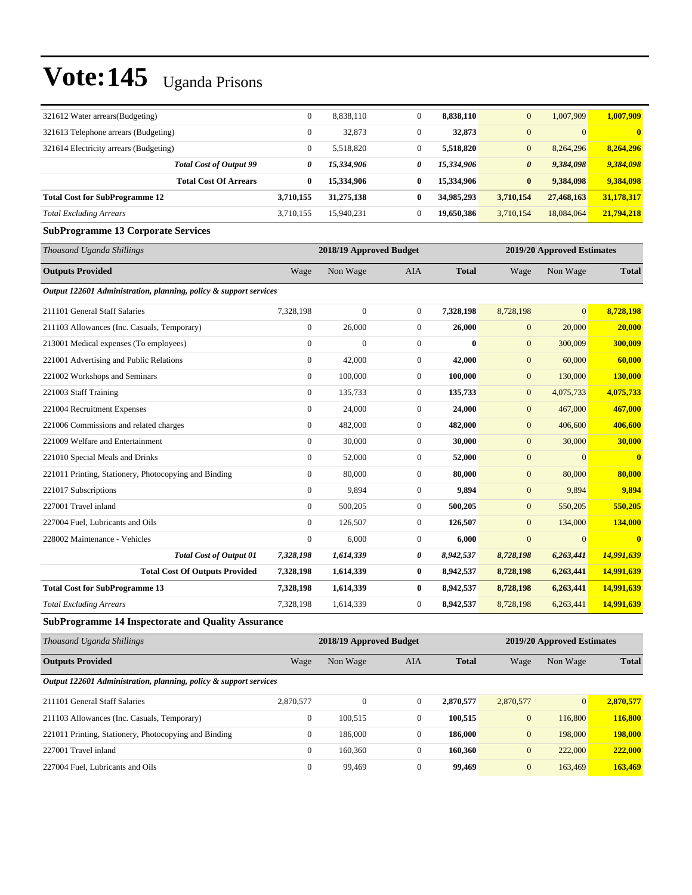| 321612 Water arrears(Budgeting)                                   | $\boldsymbol{0}$ | 8,838,110               | $\mathbf{0}$     | 8,838,110    | $\mathbf{0}$          | 1,007,909                  | 1,007,909               |
|-------------------------------------------------------------------|------------------|-------------------------|------------------|--------------|-----------------------|----------------------------|-------------------------|
| 321613 Telephone arrears (Budgeting)                              | $\mathbf{0}$     | 32,873                  | $\overline{0}$   | 32,873       | $\mathbf{0}$          | $\mathbf{0}$               |                         |
| 321614 Electricity arrears (Budgeting)                            | $\mathbf{0}$     | 5,518,820               | $\overline{0}$   | 5,518,820    | $\mathbf{0}$          | 8,264,296                  | 8,264,296               |
| <b>Total Cost of Output 99</b>                                    | 0                | 15,334,906              | 0                | 15,334,906   | $\boldsymbol{\theta}$ | 9,384,098                  | 9,384,098               |
| <b>Total Cost Of Arrears</b>                                      | $\bf{0}$         | 15,334,906              | $\bf{0}$         | 15,334,906   | $\bf{0}$              | 9,384,098                  | 9,384,098               |
| <b>Total Cost for SubProgramme 12</b>                             | 3,710,155        | 31,275,138              | $\bf{0}$         | 34,985,293   | 3,710,154             | 27,468,163                 | 31,178,317              |
| <b>Total Excluding Arrears</b>                                    | 3,710,155        | 15,940,231              | $\overline{0}$   | 19,650,386   | 3,710,154             | 18,084,064                 | 21,794,218              |
| <b>SubProgramme 13 Corporate Services</b>                         |                  |                         |                  |              |                       |                            |                         |
| Thousand Uganda Shillings                                         |                  | 2018/19 Approved Budget |                  |              |                       | 2019/20 Approved Estimates |                         |
| <b>Outputs Provided</b>                                           | Wage             | Non Wage                | AIA              | <b>Total</b> | Wage                  | Non Wage                   | <b>Total</b>            |
| Output 122601 Administration, planning, policy & support services |                  |                         |                  |              |                       |                            |                         |
| 211101 General Staff Salaries                                     | 7,328,198        | $\mathbf{0}$            | $\overline{0}$   | 7,328,198    | 8,728,198             | $\Omega$                   | 8,728,198               |
| 211103 Allowances (Inc. Casuals, Temporary)                       | $\mathbf{0}$     | 26,000                  | $\overline{0}$   | 26,000       | $\mathbf{0}$          | 20,000                     | 20,000                  |
| 213001 Medical expenses (To employees)                            | $\mathbf{0}$     | $\overline{0}$          | $\overline{0}$   | $\bf{0}$     | $\mathbf{0}$          | 300,009                    | 300,009                 |
| 221001 Advertising and Public Relations                           | $\mathbf{0}$     | 42,000                  | $\mathbf{0}$     | 42,000       | $\mathbf{0}$          | 60,000                     | 60,000                  |
| 221002 Workshops and Seminars                                     | $\boldsymbol{0}$ | 100,000                 | $\mathbf{0}$     | 100,000      | $\boldsymbol{0}$      | 130,000                    | 130,000                 |
| 221003 Staff Training                                             | $\mathbf{0}$     | 135,733                 | $\boldsymbol{0}$ | 135,733      | $\boldsymbol{0}$      | 4,075,733                  | 4,075,733               |
| 221004 Recruitment Expenses                                       | $\mathbf{0}$     | 24,000                  | $\mathbf{0}$     | 24,000       | $\mathbf{0}$          | 467,000                    | 467,000                 |
| 221006 Commissions and related charges                            | $\mathbf{0}$     | 482,000                 | $\overline{0}$   | 482,000      | $\mathbf{0}$          | 406,600                    | 406,600                 |
| 221009 Welfare and Entertainment                                  | $\mathbf{0}$     | 30,000                  | $\boldsymbol{0}$ | 30,000       | $\mathbf{0}$          | 30,000                     | 30,000                  |
| 221010 Special Meals and Drinks                                   | $\mathbf{0}$     | 52,000                  | $\mathbf{0}$     | 52,000       | $\boldsymbol{0}$      | $\mathbf{0}$               | $\bf{0}$                |
| 221011 Printing, Stationery, Photocopying and Binding             | $\mathbf{0}$     | 80,000                  | $\mathbf{0}$     | 80,000       | $\mathbf{0}$          | 80,000                     | 80,000                  |
| 221017 Subscriptions                                              | $\mathbf{0}$     | 9,894                   | $\overline{0}$   | 9,894        | $\mathbf{0}$          | 9,894                      | 9,894                   |
| 227001 Travel inland                                              | $\overline{0}$   | 500,205                 | $\mathbf{0}$     | 500,205      | $\mathbf{0}$          | 550,205                    | 550,205                 |
| 227004 Fuel, Lubricants and Oils                                  | $\mathbf{0}$     | 126,507                 | $\boldsymbol{0}$ | 126,507      | $\mathbf{0}$          | 134,000                    | 134,000                 |
| 228002 Maintenance - Vehicles                                     | $\mathbf{0}$     | 6,000                   | $\boldsymbol{0}$ | 6,000        | $\mathbf{0}$          | $\mathbf{0}$               | $\overline{\mathbf{0}}$ |
| <b>Total Cost of Output 01</b>                                    | 7,328,198        | 1,614,339               | 0                | 8,942,537    | 8,728,198             | 6,263,441                  | 14,991,639              |
| <b>Total Cost Of Outputs Provided</b>                             | 7,328,198        | 1,614,339               | $\bf{0}$         | 8,942,537    | 8,728,198             | 6,263,441                  | 14,991,639              |
| <b>Total Cost for SubProgramme 13</b>                             | 7,328,198        | 1,614,339               | $\bf{0}$         | 8,942,537    | 8,728,198             | 6,263,441                  | 14,991,639              |
| <b>Total Excluding Arrears</b>                                    | 7,328,198        | 1,614,339               | $\mathbf{0}$     | 8,942,537    | 8,728,198             | 6,263,441                  | 14,991,639              |
| <b>SubProgramme 14 Inspectorate and Quality Assurance</b>         |                  |                         |                  |              |                       |                            |                         |

| Thousand Uganda Shillings                                         |              | 2018/19 Approved Budget |              |              |                | 2019/20 Approved Estimates |              |  |  |
|-------------------------------------------------------------------|--------------|-------------------------|--------------|--------------|----------------|----------------------------|--------------|--|--|
| <b>Outputs Provided</b>                                           | Wage         | Non Wage                | AIA          | <b>Total</b> | Wage           | Non Wage                   | <b>Total</b> |  |  |
| Output 122601 Administration, planning, policy & support services |              |                         |              |              |                |                            |              |  |  |
| 211101 General Staff Salaries                                     | 2,870,577    | $\mathbf{0}$            | $\Omega$     | 2,870,577    | 2,870,577      | $\Omega$                   | 2.870.577    |  |  |
| 211103 Allowances (Inc. Casuals, Temporary)                       | $\mathbf{0}$ | 100,515                 | $\mathbf{0}$ | 100,515      | $\overline{0}$ | 116,800                    | 116,800      |  |  |
| 221011 Printing, Stationery, Photocopying and Binding             | $\mathbf{0}$ | 186,000                 | $\mathbf{0}$ | 186,000      | $\mathbf{0}$   | 198,000                    | 198,000      |  |  |
| 227001 Travel inland                                              | $\theta$     | 160,360                 | $\mathbf{0}$ | 160,360      | $\mathbf{0}$   | 222,000                    | 222,000      |  |  |
| 227004 Fuel. Lubricants and Oils                                  | $\Omega$     | 99.469                  | $\Omega$     | 99.469       | $\overline{0}$ | 163,469                    | 163,469      |  |  |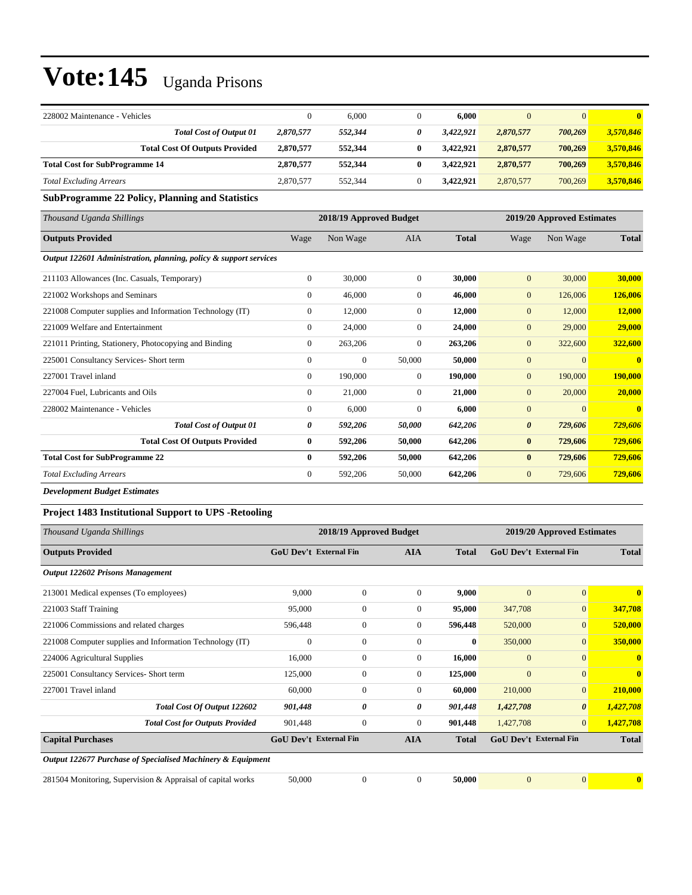| 228002 Maintenance - Vehicles         | $\Omega$  | 6.000   | 6.000     | $\Omega$  | $\overline{0}$ | 0.        |
|---------------------------------------|-----------|---------|-----------|-----------|----------------|-----------|
| <b>Total Cost of Output 01</b>        | 2,870,577 | 552,344 | 3.422,921 | 2,870,577 | 700,269        | 3,570,846 |
| <b>Total Cost Of Outputs Provided</b> | 2,870,577 | 552,344 | 3.422.921 | 2.870.577 | 700.269        | 3.570.846 |
| <b>Total Cost for SubProgramme 14</b> | 2,870,577 | 552,344 | 3.422.921 | 2,870,577 | 700.269        | 3,570,846 |
| <b>Total Excluding Arrears</b>        | 2,870,577 | 552,344 | 3.422.921 | 2,870,577 | 700,269        | 3,570,846 |

#### **SubProgramme 22 Policy, Planning and Statistics**

| Thousand Uganda Shillings                                         |                | 2018/19 Approved Budget |                |              |                       | 2019/20 Approved Estimates |                         |
|-------------------------------------------------------------------|----------------|-------------------------|----------------|--------------|-----------------------|----------------------------|-------------------------|
| <b>Outputs Provided</b>                                           | Wage           | Non Wage                | AIA            | <b>Total</b> | Wage                  | Non Wage                   | <b>Total</b>            |
| Output 122601 Administration, planning, policy & support services |                |                         |                |              |                       |                            |                         |
| 211103 Allowances (Inc. Casuals, Temporary)                       | $\overline{0}$ | 30,000                  | $\overline{0}$ | 30.000       | $\overline{0}$        | 30,000                     | 30,000                  |
| 221002 Workshops and Seminars                                     | $\overline{0}$ | 46,000                  | $\mathbf{0}$   | 46,000       | $\mathbf{0}$          | 126,006                    | 126,006                 |
| 221008 Computer supplies and Information Technology (IT)          | $\overline{0}$ | 12,000                  | $\theta$       | 12,000       | $\mathbf{0}$          | 12,000                     | 12,000                  |
| 221009 Welfare and Entertainment                                  | $\overline{0}$ | 24,000                  | $\overline{0}$ | 24,000       | $\mathbf{0}$          | 29,000                     | 29,000                  |
| 221011 Printing, Stationery, Photocopying and Binding             | $\overline{0}$ | 263,206                 | $\mathbf{0}$   | 263,206      | $\overline{0}$        | 322,600                    | 322,600                 |
| 225001 Consultancy Services- Short term                           | $\Omega$       | $\mathbf{0}$            | 50,000         | 50,000       | $\overline{0}$        | $\overline{0}$             | $\overline{\mathbf{0}}$ |
| 227001 Travel inland                                              | $\overline{0}$ | 190,000                 | $\mathbf{0}$   | 190,000      | $\mathbf{0}$          | 190,000                    | 190,000                 |
| 227004 Fuel, Lubricants and Oils                                  | $\overline{0}$ | 21,000                  | $\theta$       | 21,000       | $\mathbf{0}$          | 20,000                     | 20,000                  |
| 228002 Maintenance - Vehicles                                     | $\overline{0}$ | 6,000                   | $\mathbf{0}$   | 6,000        | $\mathbf{0}$          | $\overline{0}$             | $\mathbf{0}$            |
| <b>Total Cost of Output 01</b>                                    | 0              | 592,206                 | 50,000         | 642,206      | $\boldsymbol{\theta}$ | 729,606                    | 729,606                 |
| <b>Total Cost Of Outputs Provided</b>                             | $\bf{0}$       | 592,206                 | 50,000         | 642,206      | $\bf{0}$              | 729,606                    | 729,606                 |
| <b>Total Cost for SubProgramme 22</b>                             | $\mathbf{0}$   | 592,206                 | 50,000         | 642,206      | $\bf{0}$              | 729,606                    | 729,606                 |
| <b>Total Excluding Arrears</b>                                    | $\mathbf{0}$   | 592,206                 | 50,000         | 642,206      | $\mathbf{0}$          | 729,606                    | 729,606                 |

*Development Budget Estimates*

#### **Project 1483 Institutional Support to UPS -Retooling**

| Thousand Uganda Shillings                                   |                               | 2018/19 Approved Budget |              |              |              | 2019/20 Approved Estimates    |              |
|-------------------------------------------------------------|-------------------------------|-------------------------|--------------|--------------|--------------|-------------------------------|--------------|
| <b>Outputs Provided</b>                                     | <b>GoU Dev't External Fin</b> |                         | <b>AIA</b>   | <b>Total</b> |              | <b>GoU Dev't External Fin</b> | <b>Total</b> |
| <b>Output 122602 Prisons Management</b>                     |                               |                         |              |              |              |                               |              |
| 213001 Medical expenses (To employees)                      | 9,000                         | $\overline{0}$          | $\mathbf{0}$ | 9,000        | $\mathbf{0}$ | $\overline{0}$                | $\mathbf{0}$ |
| 221003 Staff Training                                       | 95,000                        | $\mathbf{0}$            | 0            | 95,000       | 347,708      | $\overline{0}$                | 347,708      |
| 221006 Commissions and related charges                      | 596,448                       | $\overline{0}$          | $\mathbf{0}$ | 596,448      | 520,000      | $\overline{0}$                | 520,000      |
| 221008 Computer supplies and Information Technology (IT)    | $\theta$                      | $\mathbf{0}$            | $\mathbf{0}$ | $\bf{0}$     | 350,000      | $\overline{0}$                | 350,000      |
| 224006 Agricultural Supplies                                | 16,000                        | $\mathbf{0}$            | $\mathbf{0}$ | 16,000       | $\mathbf{0}$ | $\overline{0}$                | $\mathbf{0}$ |
| 225001 Consultancy Services- Short term                     | 125,000                       | $\mathbf{0}$            | $\Omega$     | 125,000      | $\mathbf{0}$ | $\overline{0}$                | $\mathbf{0}$ |
| 227001 Travel inland                                        | 60,000                        | $\mathbf{0}$            | $\mathbf{0}$ | 60,000       | 210,000      | $\overline{0}$                | 210,000      |
| Total Cost Of Output 122602                                 | 901,448                       | 0                       | 0            | 901,448      | 1,427,708    | $\boldsymbol{\theta}$         | 1,427,708    |
| <b>Total Cost for Outputs Provided</b>                      | 901,448                       | $\mathbf{0}$            | 0            | 901,448      | 1,427,708    | $\overline{0}$                | 1,427,708    |
| <b>Capital Purchases</b>                                    | <b>GoU Dev't External Fin</b> |                         | <b>AIA</b>   | <b>Total</b> |              | <b>GoU Dev't External Fin</b> | <b>Total</b> |
| Output 122677 Purchase of Specialised Machinery & Equipment |                               |                         |              |              |              |                               |              |
| 281504 Monitoring, Supervision & Appraisal of capital works | 50,000                        | $\Omega$                | $\theta$     | 50,000       | $\Omega$     | $\overline{0}$                | $\mathbf{0}$ |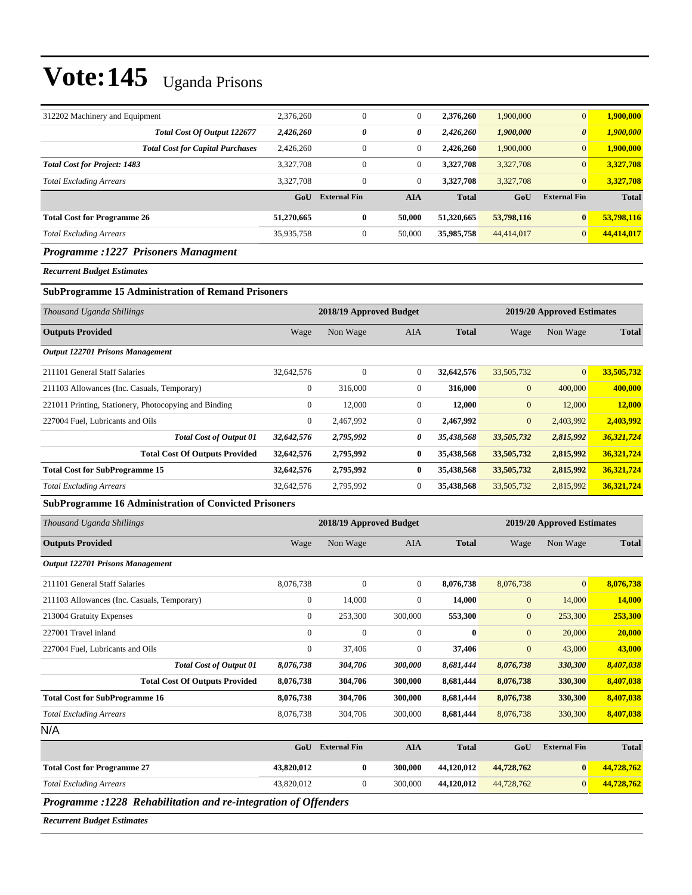|                     | $\mathbf{0}$ | 2.376.260    | 1,900,000  | $\overline{0}$        | 1,900,000    |
|---------------------|--------------|--------------|------------|-----------------------|--------------|
| 0                   | 0            | 2,426,260    | 1,900,000  | $\boldsymbol{\theta}$ | 1,900,000    |
| $\boldsymbol{0}$    | $\mathbf{0}$ | 2.426.260    | 1,900,000  | $\overline{0}$        | 1,900,000    |
| $\boldsymbol{0}$    | $\mathbf{0}$ | 3,327,708    | 3,327,708  | $\overline{0}$        | 3,327,708    |
| $\overline{0}$      | $\theta$     | 3.327.708    | 3,327,708  | $\overline{0}$        | 3,327,708    |
| <b>External Fin</b> | <b>AIA</b>   | <b>Total</b> | GoU        | <b>External Fin</b>   | <b>Total</b> |
| $\bf{0}$            | 50,000       | 51,320,665   | 53,798,116 | $\bf{0}$              | 53,798,116   |
| 0                   | 50,000       | 35,985,758   | 44,414,017 | $\overline{0}$        | 44,414,017   |
|                     |              |              |            |                       |              |

#### *Programme :1227 Prisoners Managment*

*Recurrent Budget Estimates*

#### **SubProgramme 15 Administration of Remand Prisoners**

| Thousand Uganda Shillings                             |                | 2018/19 Approved Budget |              |              |              | 2019/20 Approved Estimates |              |  |  |
|-------------------------------------------------------|----------------|-------------------------|--------------|--------------|--------------|----------------------------|--------------|--|--|
| <b>Outputs Provided</b>                               | Wage           | Non Wage                | AIA          | <b>Total</b> | Wage         | Non Wage                   | <b>Total</b> |  |  |
| <b>Output 122701 Prisons Management</b>               |                |                         |              |              |              |                            |              |  |  |
| 211101 General Staff Salaries                         | 32.642.576     | $\mathbf{0}$            | $\mathbf{0}$ | 32,642,576   | 33,505,732   | $\overline{0}$             | 33,505,732   |  |  |
| 211103 Allowances (Inc. Casuals, Temporary)           | $\overline{0}$ | 316,000                 | $\Omega$     | 316,000      | $\mathbf{0}$ | 400,000                    | 400,000      |  |  |
| 221011 Printing, Stationery, Photocopying and Binding | $\overline{0}$ | 12,000                  | $\mathbf{0}$ | 12,000       | $\mathbf{0}$ | 12,000                     | 12,000       |  |  |
| 227004 Fuel, Lubricants and Oils                      | $\mathbf{0}$   | 2,467,992               | $\mathbf{0}$ | 2,467,992    | $\mathbf{0}$ | 2,403,992                  | 2,403,992    |  |  |
| <b>Total Cost of Output 01</b>                        | 32,642,576     | 2,795,992               | 0            | 35,438,568   | 33,505,732   | 2,815,992                  | 36,321,724   |  |  |
| <b>Total Cost Of Outputs Provided</b>                 | 32,642,576     | 2,795,992               | $\bf{0}$     | 35,438,568   | 33,505,732   | 2,815,992                  | 36,321,724   |  |  |
| <b>Total Cost for SubProgramme 15</b>                 | 32,642,576     | 2,795,992               | $\bf{0}$     | 35,438,568   | 33,505,732   | 2,815,992                  | 36,321,724   |  |  |
| <b>Total Excluding Arrears</b>                        | 32,642,576     | 2,795,992               | $\mathbf{0}$ | 35,438,568   | 33,505,732   | 2,815,992                  | 36,321,724   |  |  |

#### **SubProgramme 16 Administration of Convicted Prisoners**

| Thousand Uganda Shillings                   |                  | 2018/19 Approved Budget |                |              |                | 2019/20 Approved Estimates |              |  |  |
|---------------------------------------------|------------------|-------------------------|----------------|--------------|----------------|----------------------------|--------------|--|--|
| <b>Outputs Provided</b>                     | Wage             | Non Wage                | <b>AIA</b>     | <b>Total</b> | Wage           | Non Wage                   | <b>Total</b> |  |  |
| <b>Output 122701 Prisons Management</b>     |                  |                         |                |              |                |                            |              |  |  |
| 211101 General Staff Salaries               | 8,076,738        | $\mathbf{0}$            | $\overline{0}$ | 8,076,738    | 8,076,738      | $\mathbf{0}$               | 8,076,738    |  |  |
| 211103 Allowances (Inc. Casuals, Temporary) | $\boldsymbol{0}$ | 14,000                  | $\overline{0}$ | 14,000       | $\mathbf{0}$   | 14,000                     | 14,000       |  |  |
| 213004 Gratuity Expenses                    | $\mathbf{0}$     | 253,300                 | 300,000        | 553,300      | $\mathbf{0}$   | 253,300                    | 253,300      |  |  |
| 227001 Travel inland                        | $\mathbf{0}$     | $\mathbf{0}$            | $\theta$       | $\mathbf{0}$ | $\overline{0}$ | 20,000                     | 20,000       |  |  |
| 227004 Fuel, Lubricants and Oils            | $\mathbf{0}$     | 37,406                  | $\overline{0}$ | 37,406       | $\overline{0}$ | 43,000                     | 43,000       |  |  |
| <b>Total Cost of Output 01</b>              | 8,076,738        | 304,706                 | 300,000        | 8,681,444    | 8,076,738      | 330,300                    | 8,407,038    |  |  |
| <b>Total Cost Of Outputs Provided</b>       | 8,076,738        | 304,706                 | 300,000        | 8,681,444    | 8,076,738      | 330,300                    | 8,407,038    |  |  |
| <b>Total Cost for SubProgramme 16</b>       | 8,076,738        | 304,706                 | 300,000        | 8,681,444    | 8,076,738      | 330,300                    | 8,407,038    |  |  |
| <b>Total Excluding Arrears</b>              | 8,076,738        | 304,706                 | 300,000        | 8,681,444    | 8,076,738      | 330,300                    | 8,407,038    |  |  |
| N/A                                         |                  |                         |                |              |                |                            |              |  |  |
|                                             | GoU              | <b>External Fin</b>     | <b>AIA</b>     | <b>Total</b> | GoU            | <b>External Fin</b>        | <b>Total</b> |  |  |

|                                    | $\mathbf{tr}(\mathbf{u})$ | - External FIn | AIA     | 1 otal     | GOU        | External Fin | 1 otal     |
|------------------------------------|---------------------------|----------------|---------|------------|------------|--------------|------------|
| <b>Total Cost for Programme 27</b> | 43,820,012                |                | 300,000 | 44.120.012 | 44,728,762 |              | 44,728,762 |
| Total Excluding Arrears            | 43.820.012                |                | 300,000 | 44.120.012 | 44,728,762 |              | 44,728,762 |
| $\sim$ $\sim$<br>$-$               |                           | .              |         |            |            |              |            |

*Programme :1228 Rehabilitation and re-integration of Offenders*

*Recurrent Budget Estimates*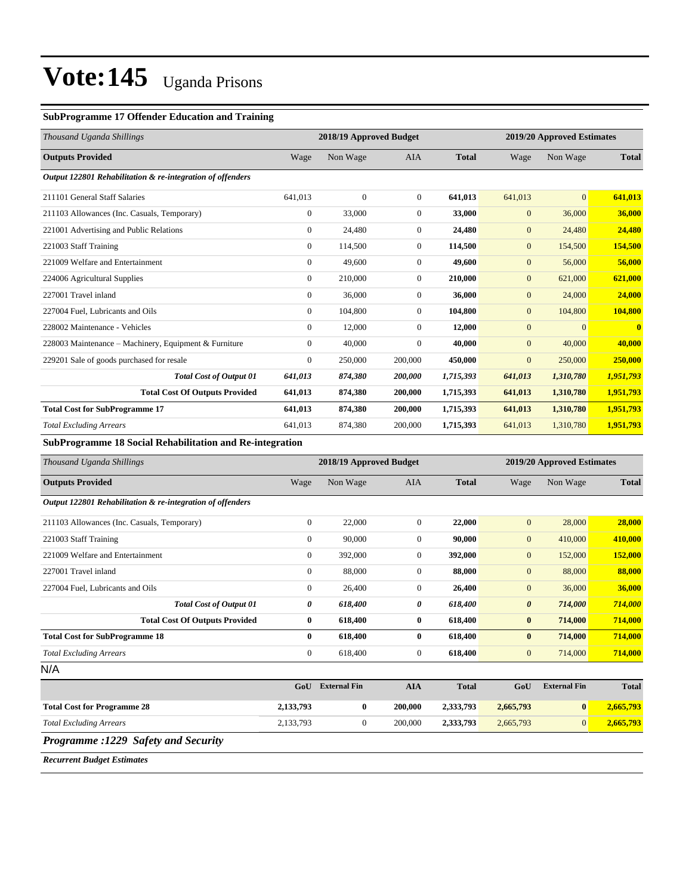#### **SubProgramme 17 Offender Education and Training**

| Thousand Uganda Shillings                                  |                | 2018/19 Approved Budget |                |              |              | 2019/20 Approved Estimates |                         |  |
|------------------------------------------------------------|----------------|-------------------------|----------------|--------------|--------------|----------------------------|-------------------------|--|
| <b>Outputs Provided</b>                                    | Wage           | Non Wage                | <b>AIA</b>     | <b>Total</b> | Wage         | Non Wage                   | <b>Total</b>            |  |
| Output 122801 Rehabilitation & re-integration of offenders |                |                         |                |              |              |                            |                         |  |
| 211101 General Staff Salaries                              | 641,013        | $\mathbf{0}$            | $\overline{0}$ | 641,013      | 641,013      | $\overline{0}$             | 641,013                 |  |
| 211103 Allowances (Inc. Casuals, Temporary)                | $\overline{0}$ | 33,000                  | $\overline{0}$ | 33,000       | $\mathbf{0}$ | 36,000                     | 36,000                  |  |
| 221001 Advertising and Public Relations                    | $\overline{0}$ | 24,480                  | $\Omega$       | 24,480       | $\mathbf{0}$ | 24,480                     | 24,480                  |  |
| 221003 Staff Training                                      | $\overline{0}$ | 114,500                 | $\Omega$       | 114,500      | $\mathbf{0}$ | 154,500                    | 154,500                 |  |
| 221009 Welfare and Entertainment                           | $\Omega$       | 49,600                  | $\Omega$       | 49,600       | $\mathbf{0}$ | 56,000                     | 56,000                  |  |
| 224006 Agricultural Supplies                               | $\overline{0}$ | 210,000                 | $\overline{0}$ | 210,000      | $\mathbf{0}$ | 621,000                    | 621,000                 |  |
| 227001 Travel inland                                       | $\Omega$       | 36,000                  | $\Omega$       | 36,000       | $\mathbf{0}$ | 24,000                     | 24,000                  |  |
| 227004 Fuel, Lubricants and Oils                           | $\overline{0}$ | 104,800                 | $\overline{0}$ | 104,800      | $\mathbf{0}$ | 104,800                    | 104,800                 |  |
| 228002 Maintenance - Vehicles                              | $\Omega$       | 12,000                  | $\overline{0}$ | 12,000       | $\mathbf{0}$ | $\Omega$                   | $\overline{\mathbf{0}}$ |  |
| 228003 Maintenance – Machinery, Equipment & Furniture      | $\overline{0}$ | 40,000                  | $\mathbf{0}$   | 40,000       | $\mathbf{0}$ | 40,000                     | 40,000                  |  |
| 229201 Sale of goods purchased for resale                  | $\overline{0}$ | 250,000                 | 200,000        | 450,000      | $\mathbf{0}$ | 250,000                    | 250,000                 |  |
| <b>Total Cost of Output 01</b>                             | 641,013        | 874,380                 | 200,000        | 1,715,393    | 641,013      | 1,310,780                  | 1,951,793               |  |
| <b>Total Cost Of Outputs Provided</b>                      | 641,013        | 874,380                 | 200,000        | 1,715,393    | 641,013      | 1,310,780                  | 1,951,793               |  |
| <b>Total Cost for SubProgramme 17</b>                      | 641,013        | 874,380                 | 200,000        | 1,715,393    | 641,013      | 1,310,780                  | 1,951,793               |  |
| <b>Total Excluding Arrears</b>                             | 641,013        | 874,380                 | 200,000        | 1,715,393    | 641,013      | 1,310,780                  | 1,951,793               |  |

**SubProgramme 18 Social Rehabilitation and Re-integration**

| Thousand Uganda Shillings                                  |                  | 2018/19 Approved Budget |                |              |                       | 2019/20 Approved Estimates |              |  |
|------------------------------------------------------------|------------------|-------------------------|----------------|--------------|-----------------------|----------------------------|--------------|--|
| <b>Outputs Provided</b>                                    | Wage             | Non Wage                | <b>AIA</b>     | <b>Total</b> | Wage                  | Non Wage                   | <b>Total</b> |  |
| Output 122801 Rehabilitation & re-integration of offenders |                  |                         |                |              |                       |                            |              |  |
| 211103 Allowances (Inc. Casuals, Temporary)                | $\boldsymbol{0}$ | 22,000                  | $\overline{0}$ | 22,000       | $\mathbf{0}$          | 28,000                     | 28,000       |  |
| 221003 Staff Training                                      | $\overline{0}$   | 90,000                  | $\overline{0}$ | 90,000       | $\mathbf{0}$          | 410,000                    | 410,000      |  |
| 221009 Welfare and Entertainment                           | $\boldsymbol{0}$ | 392,000                 | 0              | 392,000      | $\mathbf{0}$          | 152,000                    | 152,000      |  |
| 227001 Travel inland                                       | $\overline{0}$   | 88,000                  | $\overline{0}$ | 88,000       | $\mathbf{0}$          | 88,000                     | 88,000       |  |
| 227004 Fuel, Lubricants and Oils                           | $\mathbf{0}$     | 26,400                  | $\overline{0}$ | 26,400       | $\mathbf{0}$          | 36,000                     | 36,000       |  |
| <b>Total Cost of Output 01</b>                             | 0                | 618,400                 | 0              | 618,400      | $\boldsymbol{\theta}$ | 714,000                    | 714,000      |  |
| <b>Total Cost Of Outputs Provided</b>                      | $\bf{0}$         | 618,400                 | $\bf{0}$       | 618,400      | $\bf{0}$              | 714,000                    | 714,000      |  |
| <b>Total Cost for SubProgramme 18</b>                      | $\mathbf{0}$     | 618,400                 | 0              | 618,400      | $\bf{0}$              | 714,000                    | 714,000      |  |
| <b>Total Excluding Arrears</b>                             | $\mathbf{0}$     | 618,400                 | $\overline{0}$ | 618,400      | $\mathbf{0}$          | 714,000                    | 714,000      |  |
| N/A                                                        |                  |                         |                |              |                       |                            |              |  |
|                                                            | GoU              | <b>External Fin</b>     | <b>AIA</b>     | <b>Total</b> | GoU                   | <b>External Fin</b>        | <b>Total</b> |  |
| <b>Total Cost for Programme 28</b>                         | 2,133,793        | $\bf{0}$                | 200,000        | 2,333,793    | 2,665,793             | $\bf{0}$                   | 2,665,793    |  |
| <b>Total Excluding Arrears</b>                             | 2,133,793        | 0                       | 200,000        | 2,333,793    | 2,665,793             | 0                          | 2,665,793    |  |
| <b>Programme :1229 Safety and Security</b>                 |                  |                         |                |              |                       |                            |              |  |

*Recurrent Budget Estimates*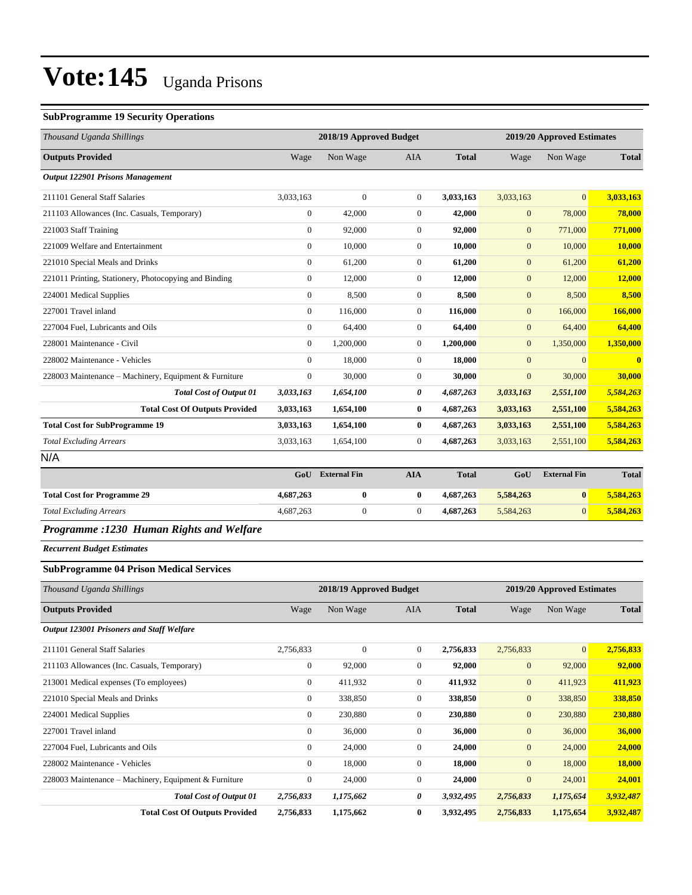#### **SubProgramme 19 Security Operations**

| Thousand Uganda Shillings                             |                | 2018/19 Approved Budget<br>2019/20 Approved Estimates |                |              |                |                     |              |
|-------------------------------------------------------|----------------|-------------------------------------------------------|----------------|--------------|----------------|---------------------|--------------|
| <b>Outputs Provided</b>                               | Wage           | Non Wage                                              | <b>AIA</b>     | <b>Total</b> | Wage           | Non Wage            | <b>Total</b> |
| <b>Output 122901 Prisons Management</b>               |                |                                                       |                |              |                |                     |              |
| 211101 General Staff Salaries                         | 3,033,163      | $\mathbf{0}$                                          | $\overline{0}$ | 3,033,163    | 3,033,163      | $\overline{0}$      | 3,033,163    |
| 211103 Allowances (Inc. Casuals, Temporary)           | $\overline{0}$ | 42,000                                                | $\overline{0}$ | 42,000       | $\mathbf{0}$   | 78,000              | 78,000       |
| 221003 Staff Training                                 | $\overline{0}$ | 92,000                                                | $\overline{0}$ | 92,000       | $\mathbf{0}$   | 771,000             | 771,000      |
| 221009 Welfare and Entertainment                      | $\overline{0}$ | 10,000                                                | $\overline{0}$ | 10,000       | $\mathbf{0}$   | 10,000              | 10,000       |
| 221010 Special Meals and Drinks                       | $\overline{0}$ | 61,200                                                | $\overline{0}$ | 61,200       | $\mathbf{0}$   | 61,200              | 61,200       |
| 221011 Printing, Stationery, Photocopying and Binding | $\overline{0}$ | 12,000                                                | $\overline{0}$ | 12,000       | $\mathbf{0}$   | 12,000              | 12,000       |
| 224001 Medical Supplies                               | $\overline{0}$ | 8,500                                                 | $\Omega$       | 8,500        | $\mathbf{0}$   | 8,500               | 8,500        |
| 227001 Travel inland                                  | $\theta$       | 116,000                                               | $\overline{0}$ | 116,000      | $\mathbf{0}$   | 166,000             | 166,000      |
| 227004 Fuel. Lubricants and Oils                      | $\overline{0}$ | 64,400                                                | $\overline{0}$ | 64.400       | $\mathbf{0}$   | 64,400              | 64,400       |
| 228001 Maintenance - Civil                            | $\Omega$       | 1,200,000                                             | $\overline{0}$ | 1,200,000    | $\mathbf{0}$   | 1,350,000           | 1,350,000    |
| 228002 Maintenance - Vehicles                         | $\overline{0}$ | 18,000                                                | $\overline{0}$ | 18,000       | $\mathbf{0}$   | $\mathbf{0}$        | $\mathbf{0}$ |
| 228003 Maintenance - Machinery, Equipment & Furniture | $\overline{0}$ | 30,000                                                | $\overline{0}$ | 30,000       | $\overline{0}$ | 30,000              | 30,000       |
| <b>Total Cost of Output 01</b>                        | 3,033,163      | 1,654,100                                             | 0              | 4,687,263    | 3,033,163      | 2,551,100           | 5,584,263    |
| <b>Total Cost Of Outputs Provided</b>                 | 3,033,163      | 1,654,100                                             | $\bf{0}$       | 4,687,263    | 3,033,163      | 2,551,100           | 5,584,263    |
| <b>Total Cost for SubProgramme 19</b>                 | 3,033,163      | 1,654,100                                             | $\bf{0}$       | 4,687,263    | 3,033,163      | 2,551,100           | 5,584,263    |
| <b>Total Excluding Arrears</b>                        | 3,033,163      | 1,654,100                                             | $\overline{0}$ | 4,687,263    | 3,033,163      | 2,551,100           | 5,584,263    |
| N/A                                                   |                |                                                       |                |              |                |                     |              |
|                                                       | GoU            | <b>External Fin</b>                                   | <b>AIA</b>     | <b>Total</b> | GoU            | <b>External Fin</b> | <b>Total</b> |
| <b>Total Cost for Programme 29</b>                    | 4,687,263      | $\bf{0}$                                              | $\bf{0}$       | 4,687,263    | 5,584,263      | $\bf{0}$            | 5,584,263    |
| <b>Total Excluding Arrears</b>                        | 4,687,263      | $\boldsymbol{0}$                                      | $\overline{0}$ | 4,687,263    | 5,584,263      | $\overline{0}$      | 5,584,263    |
| Programme :1230 Human Rights and Welfare              |                |                                                       |                |              |                |                     |              |

*Recurrent Budget Estimates*

#### **SubProgramme 04 Prison Medical Services**

| Thousand Uganda Shillings                             |              | 2018/19 Approved Budget |                |              |              | 2019/20 Approved Estimates |              |  |
|-------------------------------------------------------|--------------|-------------------------|----------------|--------------|--------------|----------------------------|--------------|--|
| <b>Outputs Provided</b>                               | Wage         | Non Wage                | AIA            | <b>Total</b> | Wage         | Non Wage                   | <b>Total</b> |  |
| <b>Output 123001 Prisoners and Staff Welfare</b>      |              |                         |                |              |              |                            |              |  |
| 211101 General Staff Salaries                         | 2,756,833    | $\mathbf{0}$            | $\overline{0}$ | 2,756,833    | 2,756,833    | $\mathbf{0}$               | 2,756,833    |  |
| 211103 Allowances (Inc. Casuals, Temporary)           | $\mathbf{0}$ | 92,000                  | $\overline{0}$ | 92,000       | $\mathbf{0}$ | 92,000                     | 92,000       |  |
| 213001 Medical expenses (To employees)                | $\mathbf{0}$ | 411,932                 | $\overline{0}$ | 411,932      | $\mathbf{0}$ | 411,923                    | 411,923      |  |
| 221010 Special Meals and Drinks                       | $\mathbf{0}$ | 338,850                 | $\mathbf{0}$   | 338,850      | $\mathbf{0}$ | 338,850                    | 338,850      |  |
| 224001 Medical Supplies                               | $\mathbf{0}$ | 230,880                 | $\overline{0}$ | 230,880      | $\mathbf{0}$ | 230,880                    | 230,880      |  |
| 227001 Travel inland                                  | $\mathbf{0}$ | 36,000                  | $\overline{0}$ | 36,000       | $\mathbf{0}$ | 36,000                     | 36,000       |  |
| 227004 Fuel, Lubricants and Oils                      | $\mathbf{0}$ | 24,000                  | $\overline{0}$ | 24,000       | $\mathbf{0}$ | 24,000                     | 24,000       |  |
| 228002 Maintenance - Vehicles                         | $\mathbf{0}$ | 18,000                  | $\overline{0}$ | 18,000       | $\mathbf{0}$ | 18,000                     | 18,000       |  |
| 228003 Maintenance – Machinery, Equipment & Furniture | $\mathbf{0}$ | 24,000                  | $\overline{0}$ | 24,000       | $\mathbf{0}$ | 24,001                     | 24,001       |  |
| <b>Total Cost of Output 01</b>                        | 2,756,833    | 1,175,662               | 0              | 3,932,495    | 2,756,833    | 1,175,654                  | 3,932,487    |  |
| <b>Total Cost Of Outputs Provided</b>                 | 2,756,833    | 1,175,662               | $\bf{0}$       | 3,932,495    | 2,756,833    | 1,175,654                  | 3,932,487    |  |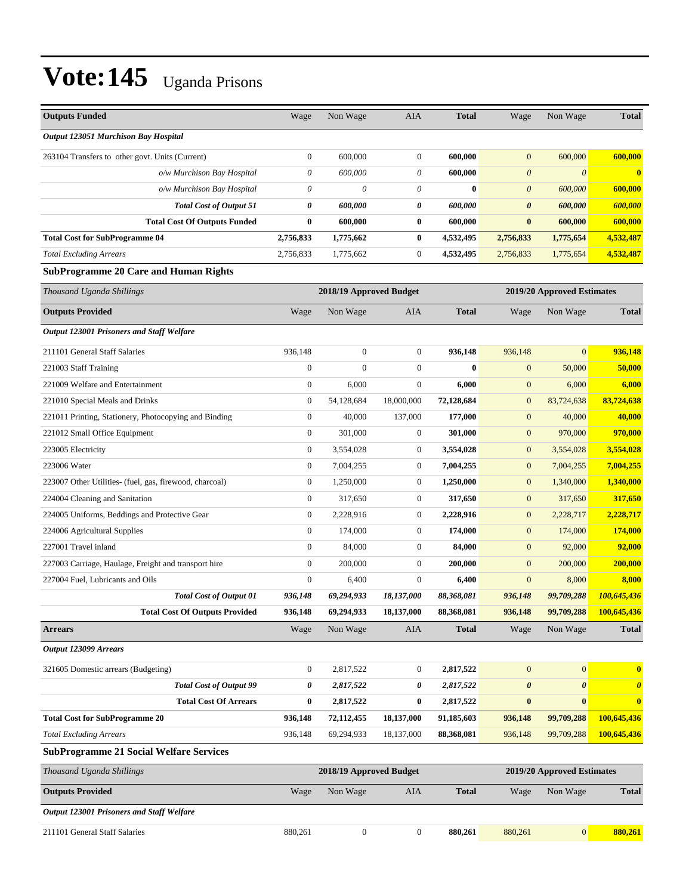| <b>Outputs Funded</b>                                   | Wage             | Non Wage                | AIA              | <b>Total</b> | Wage                  | Non Wage                   | <b>Total</b>          |
|---------------------------------------------------------|------------------|-------------------------|------------------|--------------|-----------------------|----------------------------|-----------------------|
|                                                         |                  |                         |                  |              |                       |                            |                       |
| Output 123051 Murchison Bay Hospital                    |                  |                         |                  |              |                       |                            |                       |
| 263104 Transfers to other govt. Units (Current)         | $\boldsymbol{0}$ | 600,000                 | $\boldsymbol{0}$ | 600,000      | $\mathbf{0}$          | 600,000                    | 600,000               |
| o/w Murchison Bay Hospital                              | 0                | 600,000                 | $\theta$         | 600,000      | $\theta$              | $\boldsymbol{0}$           | $\bf{0}$              |
| o/w Murchison Bay Hospital                              | 0                | $\theta$                | 0                | $\bf{0}$     | $\boldsymbol{\theta}$ | 600,000                    | 600,000               |
| <b>Total Cost of Output 51</b>                          | 0                | 600,000                 | 0                | 600,000      | $\boldsymbol{\theta}$ | 600,000                    | 600,000               |
| <b>Total Cost Of Outputs Funded</b>                     | $\bf{0}$         | 600,000                 | $\bf{0}$         | 600,000      | $\bf{0}$              | 600,000                    | 600,000               |
| <b>Total Cost for SubProgramme 04</b>                   | 2,756,833        | 1,775,662               | $\bf{0}$         | 4,532,495    | 2,756,833             | 1,775,654                  | 4,532,487             |
| <b>Total Excluding Arrears</b>                          | 2,756,833        | 1,775,662               | $\boldsymbol{0}$ | 4,532,495    | 2,756,833             | 1,775,654                  | 4,532,487             |
| <b>SubProgramme 20 Care and Human Rights</b>            |                  |                         |                  |              |                       |                            |                       |
| Thousand Uganda Shillings                               |                  | 2018/19 Approved Budget |                  |              |                       | 2019/20 Approved Estimates |                       |
| <b>Outputs Provided</b>                                 | Wage             | Non Wage                | AIA              | <b>Total</b> | Wage                  | Non Wage                   | <b>Total</b>          |
| Output 123001 Prisoners and Staff Welfare               |                  |                         |                  |              |                       |                            |                       |
| 211101 General Staff Salaries                           | 936,148          | $\mathbf{0}$            | $\mathbf{0}$     | 936,148      | 936,148               | $\Omega$                   | 936,148               |
| 221003 Staff Training                                   | $\boldsymbol{0}$ | $\mathbf{0}$            | $\boldsymbol{0}$ | $\bf{0}$     | $\mathbf{0}$          | 50,000                     | 50,000                |
| 221009 Welfare and Entertainment                        | $\boldsymbol{0}$ | 6,000                   | $\boldsymbol{0}$ | 6,000        | $\mathbf{0}$          | 6,000                      | 6,000                 |
| 221010 Special Meals and Drinks                         | $\boldsymbol{0}$ | 54,128,684              | 18,000,000       | 72,128,684   | $\boldsymbol{0}$      | 83,724,638                 | 83,724,638            |
| 221011 Printing, Stationery, Photocopying and Binding   | $\boldsymbol{0}$ | 40,000                  | 137,000          | 177,000      | $\mathbf{0}$          | 40,000                     | 40,000                |
| 221012 Small Office Equipment                           | $\overline{0}$   | 301,000                 | $\boldsymbol{0}$ | 301,000      | $\mathbf{0}$          | 970,000                    | 970,000               |
| 223005 Electricity                                      | $\boldsymbol{0}$ | 3,554,028               | $\boldsymbol{0}$ | 3,554,028    | $\mathbf{0}$          | 3,554,028                  | 3,554,028             |
| 223006 Water                                            | $\boldsymbol{0}$ | 7,004,255               | $\boldsymbol{0}$ | 7,004,255    | $\mathbf{0}$          | 7,004,255                  | 7,004,255             |
| 223007 Other Utilities- (fuel, gas, firewood, charcoal) | $\boldsymbol{0}$ | 1,250,000               | $\boldsymbol{0}$ | 1,250,000    | $\mathbf{0}$          | 1,340,000                  | 1,340,000             |
| 224004 Cleaning and Sanitation                          | $\boldsymbol{0}$ | 317,650                 | $\boldsymbol{0}$ | 317,650      | $\mathbf{0}$          | 317,650                    | 317,650               |
| 224005 Uniforms, Beddings and Protective Gear           | $\boldsymbol{0}$ | 2,228,916               | $\boldsymbol{0}$ | 2,228,916    | $\mathbf{0}$          | 2,228,717                  | 2,228,717             |
| 224006 Agricultural Supplies                            | $\boldsymbol{0}$ | 174,000                 | $\boldsymbol{0}$ | 174,000      | $\mathbf{0}$          | 174,000                    | 174,000               |
| 227001 Travel inland                                    | $\boldsymbol{0}$ | 84,000                  | $\boldsymbol{0}$ | 84,000       | $\mathbf{0}$          | 92,000                     | 92,000                |
| 227003 Carriage, Haulage, Freight and transport hire    | $\boldsymbol{0}$ | 200,000                 | $\boldsymbol{0}$ | 200,000      | $\mathbf{0}$          | 200,000                    | 200,000               |
| 227004 Fuel, Lubricants and Oils                        | $\boldsymbol{0}$ | 6,400                   | $\boldsymbol{0}$ | 6,400        | $\mathbf{0}$          | 8,000                      | 8,000                 |
| <b>Total Cost of Output 01</b>                          | 936,148          | 69,294,933              | 18,137,000       | 88,368,081   | 936,148               | 99,709,288                 | 100,645,436           |
| <b>Total Cost Of Outputs Provided</b>                   | 936,148          | 69,294,933              | 18,137,000       | 88,368,081   | 936,148               | 99,709,288                 | 100,645,436           |
| <b>Arrears</b>                                          | Wage             | Non Wage                | AIA              | <b>Total</b> | Wage                  | Non Wage                   | <b>Total</b>          |
| Output 123099 Arrears                                   |                  |                         |                  |              |                       |                            |                       |
| 321605 Domestic arrears (Budgeting)                     | $\boldsymbol{0}$ | 2,817,522               | $\boldsymbol{0}$ | 2,817,522    | $\mathbf{0}$          | $\mathbf{0}$               | $\bf{0}$              |
| <b>Total Cost of Output 99</b>                          | 0                | 2,817,522               | 0                | 2,817,522    | 0                     | $\boldsymbol{\theta}$      | $\boldsymbol{\theta}$ |
| <b>Total Cost Of Arrears</b>                            | $\bf{0}$         | 2,817,522               | $\bf{0}$         | 2,817,522    | $\bf{0}$              | $\bf{0}$                   | $\bf{0}$              |
| <b>Total Cost for SubProgramme 20</b>                   | 936,148          | 72,112,455              | 18,137,000       | 91,185,603   | 936,148               | 99,709,288                 | 100,645,436           |
| <b>Total Excluding Arrears</b>                          | 936,148          | 69,294,933              | 18,137,000       | 88,368,081   | 936,148               | 99,709,288                 | 100,645,436           |
| <b>SubProgramme 21 Social Welfare Services</b>          |                  |                         |                  |              |                       |                            |                       |
| Thousand Uganda Shillings                               |                  | 2018/19 Approved Budget |                  |              |                       | 2019/20 Approved Estimates |                       |
| <b>Outputs Provided</b>                                 | Wage             | Non Wage                | AIA              | <b>Total</b> | Wage                  | Non Wage                   | <b>Total</b>          |
| Output 123001 Prisoners and Staff Welfare               |                  |                         |                  |              |                       |                            |                       |
| 211101 General Staff Salaries                           | 880,261          | $\boldsymbol{0}$        | $\boldsymbol{0}$ | 880,261      | 880,261               | $\mathbf{0}$               | 880,261               |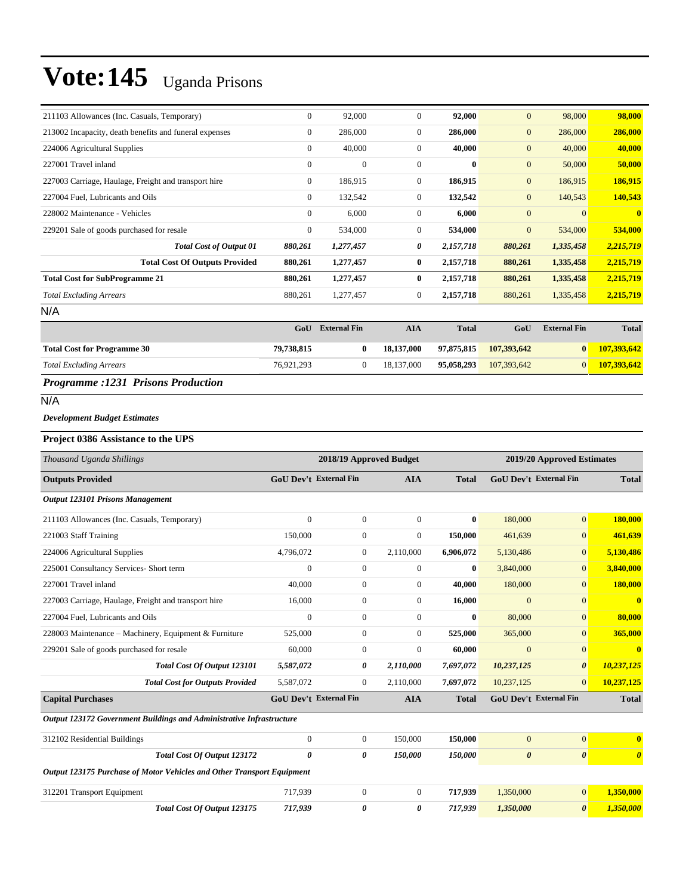| 211103 Allowances (Inc. Casuals, Temporary)            | $\mathbf{0}$   | 92,000       | $\overline{0}$ | 92,000    | $\mathbf{0}$   | 98,000         | 98,000       |
|--------------------------------------------------------|----------------|--------------|----------------|-----------|----------------|----------------|--------------|
| 213002 Incapacity, death benefits and funeral expenses | $\mathbf{0}$   | 286,000      | $\overline{0}$ | 286,000   | $\mathbf{0}$   | 286,000        | 286,000      |
| 224006 Agricultural Supplies                           | $\mathbf{0}$   | 40,000       | $\overline{0}$ | 40,000    | $\overline{0}$ | 40,000         | 40,000       |
| 227001 Travel inland                                   | $\overline{0}$ | $\mathbf{0}$ | $\theta$       | $\bf{0}$  | $\mathbf{0}$   | 50,000         | 50,000       |
| 227003 Carriage, Haulage, Freight and transport hire   | $\mathbf{0}$   | 186,915      | $\overline{0}$ | 186,915   | $\mathbf{0}$   | 186,915        | 186,915      |
| 227004 Fuel, Lubricants and Oils                       | $\mathbf{0}$   | 132,542      | $\overline{0}$ | 132,542   | $\mathbf{0}$   | 140,543        | 140,543      |
| 228002 Maintenance - Vehicles                          | $\mathbf{0}$   | 6,000        | $\overline{0}$ | 6,000     | $\mathbf{0}$   | $\overline{0}$ | $\mathbf{0}$ |
| 229201 Sale of goods purchased for resale              | $\mathbf{0}$   | 534,000      | $\overline{0}$ | 534,000   | $\mathbf{0}$   | 534,000        | 534,000      |
| <b>Total Cost of Output 01</b>                         | 880,261        | 1,277,457    | 0              | 2,157,718 | 880,261        | 1,335,458      | 2,215,719    |
| <b>Total Cost Of Outputs Provided</b>                  | 880,261        | 1,277,457    | $\bf{0}$       | 2,157,718 | 880,261        | 1,335,458      | 2,215,719    |
| <b>Total Cost for SubProgramme 21</b>                  | 880,261        | 1,277,457    | $\bf{0}$       | 2,157,718 | 880,261        | 1,335,458      | 2,215,719    |
| <b>Total Excluding Arrears</b>                         | 880,261        | 1,277,457    | $\overline{0}$ | 2,157,718 | 880,261        | 1,335,458      | 2,215,719    |
| N/A                                                    |                |              |                |           |                |                |              |

|                                    | GoU        | <b>External Fin</b> | AIA        | <b>Total</b> | GoU         | <b>External Fin</b> | <b>Total</b> |
|------------------------------------|------------|---------------------|------------|--------------|-------------|---------------------|--------------|
| <b>Total Cost for Programme 30</b> | 79.738.815 |                     | 18.137.000 | 97.875.815   | 107.393.642 | $\bf{0}$            | 107.393.642  |
| <b>Total Excluding Arrears</b>     | 76.921.293 |                     | 18.137.000 | 95,058,293   | 107.393.642 | $\overline{0}$      | 107.393.642  |
| ---- - -<br>- - -<br>$\sim$        |            |                     |            |              |             |                     |              |

#### *Programme :1231 Prisons Production*

### N/A

#### *Development Budget Estimates*

#### **Project 0386 Assistance to the UPS**

| Thousand Uganda Shillings                                              |                               |                  | 2018/19 Approved Budget |              |                       | 2019/20 Approved Estimates    |                         |  |  |
|------------------------------------------------------------------------|-------------------------------|------------------|-------------------------|--------------|-----------------------|-------------------------------|-------------------------|--|--|
| <b>Outputs Provided</b>                                                | GoU Dev't External Fin        |                  | <b>AIA</b>              | <b>Total</b> |                       | <b>GoU Dev't External Fin</b> | <b>Total</b>            |  |  |
| Output 123101 Prisons Management                                       |                               |                  |                         |              |                       |                               |                         |  |  |
| 211103 Allowances (Inc. Casuals, Temporary)                            | $\overline{0}$                | $\mathbf{0}$     | $\overline{0}$          | $\mathbf{0}$ | 180,000               | $\overline{0}$                | 180,000                 |  |  |
| 221003 Staff Training                                                  | 150,000                       | $\mathbf{0}$     | $\overline{0}$          | 150,000      | 461,639               | $\overline{0}$                | 461,639                 |  |  |
| 224006 Agricultural Supplies                                           | 4,796,072                     | $\boldsymbol{0}$ | 2,110,000               | 6,906,072    | 5,130,486             | $\overline{0}$                | 5,130,486               |  |  |
| 225001 Consultancy Services- Short term                                | $\overline{0}$                | $\mathbf{0}$     | $\overline{0}$          | $\bf{0}$     | 3,840,000             | $\overline{0}$                | 3,840,000               |  |  |
| 227001 Travel inland                                                   | 40,000                        | $\boldsymbol{0}$ | $\overline{0}$          | 40,000       | 180,000               | $\overline{0}$                | 180,000                 |  |  |
| 227003 Carriage, Haulage, Freight and transport hire                   | 16,000                        | $\boldsymbol{0}$ | $\overline{0}$          | 16,000       | $\overline{0}$        | $\overline{0}$                | $\mathbf{0}$            |  |  |
| 227004 Fuel, Lubricants and Oils                                       | $\overline{0}$                | $\mathbf{0}$     | $\overline{0}$          | $\bf{0}$     | 80,000                | $\overline{0}$                | 80,000                  |  |  |
| 228003 Maintenance – Machinery, Equipment & Furniture                  | 525,000                       | $\mathbf{0}$     | $\overline{0}$          | 525,000      | 365,000               | $\overline{0}$                | 365,000                 |  |  |
| 229201 Sale of goods purchased for resale                              | 60,000                        | $\overline{0}$   | $\overline{0}$          | 60.000       | $\overline{0}$        | $\overline{0}$                | $\overline{\mathbf{0}}$ |  |  |
| <b>Total Cost Of Output 123101</b>                                     | 5,587,072                     | 0                | 2,110,000               | 7,697,072    | 10,237,125            | $\boldsymbol{\theta}$         | 10,237,125              |  |  |
| <b>Total Cost for Outputs Provided</b>                                 | 5,587,072                     | $\mathbf{0}$     | 2,110,000               | 7,697,072    | 10,237,125            | $\Omega$                      | 10,237,125              |  |  |
| <b>Capital Purchases</b>                                               | <b>GoU Dev't External Fin</b> |                  | <b>AIA</b>              | <b>Total</b> |                       | <b>GoU Dev't External Fin</b> | <b>Total</b>            |  |  |
| Output 123172 Government Buildings and Administrative Infrastructure   |                               |                  |                         |              |                       |                               |                         |  |  |
| 312102 Residential Buildings                                           | $\overline{0}$                | $\mathbf{0}$     | 150,000                 | 150,000      | $\overline{0}$        | $\overline{0}$                | $\mathbf{0}$            |  |  |
| <b>Total Cost Of Output 123172</b>                                     | 0                             | 0                | 150,000                 | 150,000      | $\boldsymbol{\theta}$ | $\boldsymbol{\theta}$         | $\boldsymbol{\theta}$   |  |  |
| Output 123175 Purchase of Motor Vehicles and Other Transport Equipment |                               |                  |                         |              |                       |                               |                         |  |  |
| 312201 Transport Equipment                                             | 717,939                       | $\boldsymbol{0}$ | $\overline{0}$          | 717,939      | 1,350,000             | $\overline{0}$                | 1,350,000               |  |  |
| Total Cost Of Output 123175                                            | 717,939                       | 0                | 0                       | 717,939      | 1,350,000             | $\boldsymbol{\theta}$         | 1,350,000               |  |  |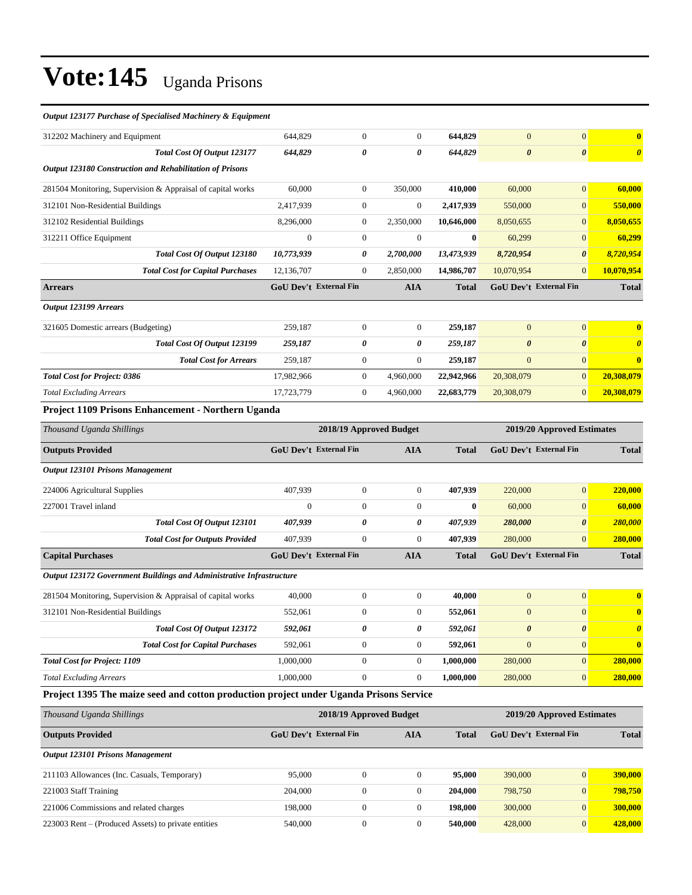#### *Output 123177 Purchase of Specialised Machinery & Equipment*

| 312202 Machinery and Equipment                                                         | 644,829                       | $\mathbf{0}$            | $\theta$         | 644,829      | $\mathbf{0}$          | $\mathbf{0}$                  | $\bf{0}$              |
|----------------------------------------------------------------------------------------|-------------------------------|-------------------------|------------------|--------------|-----------------------|-------------------------------|-----------------------|
| Total Cost Of Output 123177                                                            | 644,829                       | 0                       | 0                | 644,829      | $\boldsymbol{\theta}$ | $\boldsymbol{\theta}$         | $\boldsymbol{\theta}$ |
| Output 123180 Construction and Rehabilitation of Prisons                               |                               |                         |                  |              |                       |                               |                       |
| 281504 Monitoring, Supervision & Appraisal of capital works                            | 60,000                        | $\mathbf{0}$            | 350,000          | 410,000      | 60,000                | $\mathbf{0}$                  | 60,000                |
| 312101 Non-Residential Buildings                                                       | 2,417,939                     | $\boldsymbol{0}$        | $\boldsymbol{0}$ | 2,417,939    | 550,000               | $\mathbf{0}$                  | 550,000               |
| 312102 Residential Buildings                                                           | 8,296,000                     | $\boldsymbol{0}$        | 2,350,000        | 10,646,000   | 8,050,655             | $\mathbf{0}$                  | 8,050,655             |
| 312211 Office Equipment                                                                | $\mathbf{0}$                  | $\mathbf{0}$            | $\theta$         | $\bf{0}$     | 60,299                | $\mathbf{0}$                  | 60,299                |
| Total Cost Of Output 123180                                                            | 10,773,939                    | 0                       | 2,700,000        | 13,473,939   | 8,720,954             | $\boldsymbol{\theta}$         | 8,720,954             |
| <b>Total Cost for Capital Purchases</b>                                                | 12,136,707                    | $\boldsymbol{0}$        | 2,850,000        | 14,986,707   | 10,070,954            | $\mathbf{0}$                  | 10,070,954            |
| <b>Arrears</b>                                                                         | GoU Dev't External Fin        |                         | AIA              | <b>Total</b> |                       | GoU Dev't External Fin        | <b>Total</b>          |
| Output 123199 Arrears                                                                  |                               |                         |                  |              |                       |                               |                       |
| 321605 Domestic arrears (Budgeting)                                                    | 259,187                       | $\boldsymbol{0}$        | $\boldsymbol{0}$ | 259,187      | $\mathbf{0}$          | $\boldsymbol{0}$              | $\bf{0}$              |
| Total Cost Of Output 123199                                                            | 259,187                       | 0                       | 0                | 259,187      | $\boldsymbol{\theta}$ | $\boldsymbol{\theta}$         | $\boldsymbol{\theta}$ |
| <b>Total Cost for Arrears</b>                                                          | 259,187                       | $\mathbf{0}$            | $\boldsymbol{0}$ | 259,187      | $\mathbf{0}$          | $\mathbf{0}$                  | $\bf{0}$              |
| <b>Total Cost for Project: 0386</b>                                                    | 17,982,966                    | $\mathbf{0}$            | 4,960,000        | 22,942,966   | 20,308,079            | $\mathbf{0}$                  | 20,308,079            |
| <b>Total Excluding Arrears</b>                                                         | 17,723,779                    | $\mathbf{0}$            | 4,960,000        | 22,683,779   | 20,308,079            | $\mathbf{0}$                  | 20,308,079            |
| Project 1109 Prisons Enhancement - Northern Uganda                                     |                               |                         |                  |              |                       |                               |                       |
| Thousand Uganda Shillings                                                              |                               | 2018/19 Approved Budget |                  |              |                       | 2019/20 Approved Estimates    |                       |
| <b>Outputs Provided</b>                                                                | GoU Dev't External Fin        |                         | AIA              | <b>Total</b> |                       | <b>GoU Dev't External Fin</b> | <b>Total</b>          |
| <b>Output 123101 Prisons Management</b>                                                |                               |                         |                  |              |                       |                               |                       |
| 224006 Agricultural Supplies                                                           | 407,939                       | $\boldsymbol{0}$        | $\boldsymbol{0}$ | 407,939      | 220,000               | $\mathbf{0}$                  | 220,000               |
| 227001 Travel inland                                                                   | $\mathbf{0}$                  | $\mathbf{0}$            | $\mathbf{0}$     | $\bf{0}$     | 60,000                | $\mathbf{0}$                  | 60,000                |
| Total Cost Of Output 123101                                                            | 407,939                       | 0                       | 0                | 407,939      | 280,000               | $\boldsymbol{\theta}$         | 280,000               |
| <b>Total Cost for Outputs Provided</b>                                                 | 407,939                       | $\mathbf{0}$            | $\mathbf{0}$     | 407,939      | 280,000               | $\overline{0}$                | 280,000               |
| <b>Capital Purchases</b>                                                               | <b>GoU Dev't External Fin</b> |                         | <b>AIA</b>       | Total        |                       | GoU Dev't External Fin        | <b>Total</b>          |
| Output 123172 Government Buildings and Administrative Infrastructure                   |                               |                         |                  |              |                       |                               |                       |
| 281504 Monitoring, Supervision & Appraisal of capital works                            | 40,000                        | $\boldsymbol{0}$        | $\boldsymbol{0}$ | 40,000       | $\mathbf{0}$          | $\boldsymbol{0}$              | $\bf{0}$              |
| 312101 Non-Residential Buildings                                                       | 552,061                       | $\boldsymbol{0}$        | $\mathbf{0}$     | 552,061      | $\mathbf{0}$          | $\mathbf{0}$                  | $\bf{0}$              |
| Total Cost Of Output 123172                                                            | 592,061                       | 0                       | 0                | 592,061      | $\boldsymbol{\theta}$ | $\pmb{\theta}$                |                       |
| <b>Total Cost for Capital Purchases</b>                                                | 592,061                       | $\boldsymbol{0}$        | $\mathbf{0}$     | 592,061      | $\boldsymbol{0}$      | $\mathbf{0}$                  | $\mathbf{0}$          |
| <b>Total Cost for Project: 1109</b>                                                    | 1,000,000                     | $\boldsymbol{0}$        | $\mathbf{0}$     | 1,000,000    | 280,000               | $\mathbf{0}$                  | 280,000               |
| <b>Total Excluding Arrears</b>                                                         | 1,000,000                     | $\boldsymbol{0}$        | $\boldsymbol{0}$ | 1,000,000    | 280,000               | $\mathbf{0}$                  | <b>280,000</b>        |
| Project 1395 The maize seed and cotton production project under Uganda Prisons Service |                               |                         |                  |              |                       |                               |                       |
| Thousand Uganda Shillings                                                              |                               | 2018/19 Approved Budget |                  |              |                       | 2019/20 Approved Estimates    |                       |
| <b>Outputs Provided</b>                                                                | <b>GoU Dev't External Fin</b> |                         | <b>AIA</b>       | <b>Total</b> |                       | <b>GoU Dev't External Fin</b> | <b>Total</b>          |

| <b>Output 123101 Prisons Management</b>             |         |  |         |         |   |         |
|-----------------------------------------------------|---------|--|---------|---------|---|---------|
| 211103 Allowances (Inc. Casuals, Temporary)         | 95,000  |  | 95.000  | 390,000 |   | 390,000 |
| 221003 Staff Training                               | 204,000 |  | 204.000 | 798,750 |   | 798.750 |
| 221006 Commissions and related charges              | 198.000 |  | 198,000 | 300,000 | 0 | 300,000 |
| 223003 Rent – (Produced Assets) to private entities | 540,000 |  | 540,000 | 428,000 |   | 428,000 |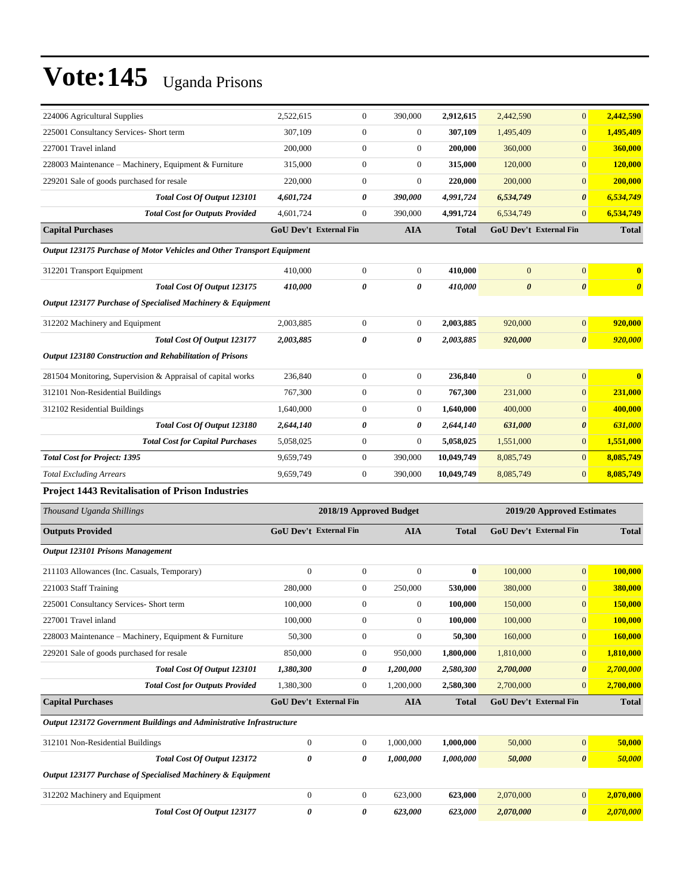| 224006 Agricultural Supplies                                           | 2,522,615                            | $\boldsymbol{0}$ | 390,000          | 2,912,615                     | 2,442,590                  | $\mathbf{0}$          | 2,442,590             |
|------------------------------------------------------------------------|--------------------------------------|------------------|------------------|-------------------------------|----------------------------|-----------------------|-----------------------|
| 225001 Consultancy Services- Short term                                | 307,109                              | $\boldsymbol{0}$ | $\boldsymbol{0}$ | 307,109                       | 1,495,409                  | $\overline{0}$        | 1,495,409             |
| 227001 Travel inland                                                   | 200,000                              | $\overline{0}$   | $\boldsymbol{0}$ | 200,000                       | 360,000                    | $\mathbf{0}$          | 360,000               |
| 228003 Maintenance - Machinery, Equipment & Furniture                  | 315,000                              | $\boldsymbol{0}$ | 0                | 315,000                       | 120,000                    | $\boldsymbol{0}$      | 120,000               |
| 229201 Sale of goods purchased for resale                              | 220,000                              | $\boldsymbol{0}$ | $\boldsymbol{0}$ | 220,000                       | 200,000                    | $\boldsymbol{0}$      | 200,000               |
| Total Cost Of Output 123101                                            | 4,601,724                            | 0                | 390,000          | 4,991,724                     | 6,534,749                  | 0                     | 6,534,749             |
| <b>Total Cost for Outputs Provided</b>                                 | 4,601,724                            | $\boldsymbol{0}$ | 390,000          | 4,991,724                     | 6,534,749                  | $\overline{0}$        | 6,534,749             |
| <b>Capital Purchases</b>                                               | <b>GoU Dev't External Fin</b>        |                  | <b>AIA</b>       | <b>Total</b>                  | GoU Dev't External Fin     |                       | <b>Total</b>          |
| Output 123175 Purchase of Motor Vehicles and Other Transport Equipment |                                      |                  |                  |                               |                            |                       |                       |
| 312201 Transport Equipment                                             | 410,000                              | $\boldsymbol{0}$ | $\mathbf{0}$     | 410,000                       | $\mathbf{0}$               | $\mathbf{0}$          |                       |
| Total Cost Of Output 123175                                            | 410,000                              | 0                | 0                | 410,000                       | $\boldsymbol{\theta}$      | $\boldsymbol{\theta}$ | $\boldsymbol{\theta}$ |
| Output 123177 Purchase of Specialised Machinery & Equipment            |                                      |                  |                  |                               |                            |                       |                       |
| 312202 Machinery and Equipment                                         | 2,003,885                            | $\boldsymbol{0}$ | $\boldsymbol{0}$ | 2,003,885                     | 920,000                    | $\mathbf{0}$          | 920,000               |
| <b>Total Cost Of Output 123177</b>                                     | 2,003,885                            | 0                | 0                | 2,003,885                     | 920,000                    | 0                     | 920,000               |
| Output 123180 Construction and Rehabilitation of Prisons               |                                      |                  |                  |                               |                            |                       |                       |
| 281504 Monitoring, Supervision & Appraisal of capital works            | 236,840                              | $\overline{0}$   | $\boldsymbol{0}$ | 236,840                       | $\Omega$                   | $\overline{0}$        |                       |
| 312101 Non-Residential Buildings                                       | 767,300                              | $\boldsymbol{0}$ | $\boldsymbol{0}$ | 767,300                       | 231,000                    | $\mathbf{0}$          | 231,000               |
| 312102 Residential Buildings                                           | 1,640,000                            | $\boldsymbol{0}$ | $\boldsymbol{0}$ | 1,640,000                     | 400,000                    | $\boldsymbol{0}$      | 400,000               |
| Total Cost Of Output 123180                                            | 2,644,140                            | 0                | 0                | 2,644,140                     | 631,000                    | $\pmb{\theta}$        | 631,000               |
| <b>Total Cost for Capital Purchases</b>                                | 5,058,025                            | $\boldsymbol{0}$ | $\boldsymbol{0}$ | 5,058,025                     | 1,551,000                  | $\overline{0}$        | 1,551,000             |
| <b>Total Cost for Project: 1395</b>                                    | 9,659,749                            | $\boldsymbol{0}$ | 390,000          | 10,049,749                    | 8,085,749                  | $\boldsymbol{0}$      | 8,085,749             |
| <b>Total Excluding Arrears</b>                                         | 9,659,749                            | $\boldsymbol{0}$ | 390,000          | 10,049,749                    | 8,085,749                  | $\overline{0}$        | 8,085,749             |
| Project 1443 Revitalisation of Prison Industries                       |                                      |                  |                  |                               |                            |                       |                       |
| Thousand Uganda Shillings                                              | 2018/19 Approved Budget              |                  |                  |                               | 2019/20 Approved Estimates |                       |                       |
| <b>Outputs Provided</b>                                                | GoU Dev't External Fin<br><b>AIA</b> |                  | <b>Total</b>     | <b>GoU Dev't External Fin</b> |                            | <b>Total</b>          |                       |
| Output 123101 Prisons Management                                       |                                      |                  |                  |                               |                            |                       |                       |
| 211103 Allowances (Inc. Casuals, Temporary)                            | $\boldsymbol{0}$                     | $\boldsymbol{0}$ | $\boldsymbol{0}$ | $\bf{0}$                      | 100,000                    | $\boldsymbol{0}$      | 100,000               |
| 221003 Staff Training                                                  | 280,000                              | $\boldsymbol{0}$ | 250,000          | 530,000                       | 380,000                    | $\boldsymbol{0}$      | 380,000               |
| 225001 Consultancy Services- Short term                                | 100,000                              | $\boldsymbol{0}$ | $\boldsymbol{0}$ | 100,000                       | 150,000                    | $\boldsymbol{0}$      | <b>150,000</b>        |
| 227001 Travel inland                                                   | 100,000                              | $\boldsymbol{0}$ | $\boldsymbol{0}$ | 100,000                       | 100,000                    | $\boldsymbol{0}$      | 100,000               |
| 228003 Maintenance - Machinery, Equipment & Furniture                  | 50,300                               | $\boldsymbol{0}$ | $\boldsymbol{0}$ | 50,300                        | 160,000                    | $\mathbf{0}$          | 160,000               |
| 229201 Sale of goods purchased for resale                              | 850,000                              | $\boldsymbol{0}$ | 950,000          | 1,800,000                     | 1,810,000                  | $\boldsymbol{0}$      | 1,810,000             |
| Total Cost Of Output 123101                                            | 1,380,300                            | 0                | 1,200,000        | 2,580,300                     | 2,700,000                  | 0                     | 2,700,000             |
| <b>Total Cost for Outputs Provided</b>                                 | 1,380,300                            | $\boldsymbol{0}$ | 1,200,000        | 2,580,300                     | 2,700,000                  | $\boldsymbol{0}$      | 2,700,000             |
| <b>Capital Purchases</b>                                               | <b>GoU Dev't External Fin</b>        |                  | AIA              | <b>Total</b>                  | GoU Dev't External Fin     |                       | <b>Total</b>          |
|                                                                        |                                      |                  |                  |                               |                            |                       |                       |
| Output 123172 Government Buildings and Administrative Infrastructure   |                                      |                  |                  |                               |                            |                       |                       |
| 312101 Non-Residential Buildings                                       | $\boldsymbol{0}$                     | $\boldsymbol{0}$ | 1,000,000        | 1,000,000                     | 50,000                     | $\boldsymbol{0}$      | 50,000                |
| Total Cost Of Output 123172                                            | 0                                    | 0                | 1,000,000        | 1,000,000                     | 50,000                     | $\pmb{\theta}$        | 50,000                |
| Output 123177 Purchase of Specialised Machinery & Equipment            |                                      |                  |                  |                               |                            |                       |                       |
| 312202 Machinery and Equipment                                         | $\boldsymbol{0}$                     | $\boldsymbol{0}$ | 623,000          | 623,000                       | 2,070,000                  | $\boldsymbol{0}$      | 2,070,000             |

*Total Cost Of Output 123177 0 0 623,000 623,000 2,070,000 0 2,070,000*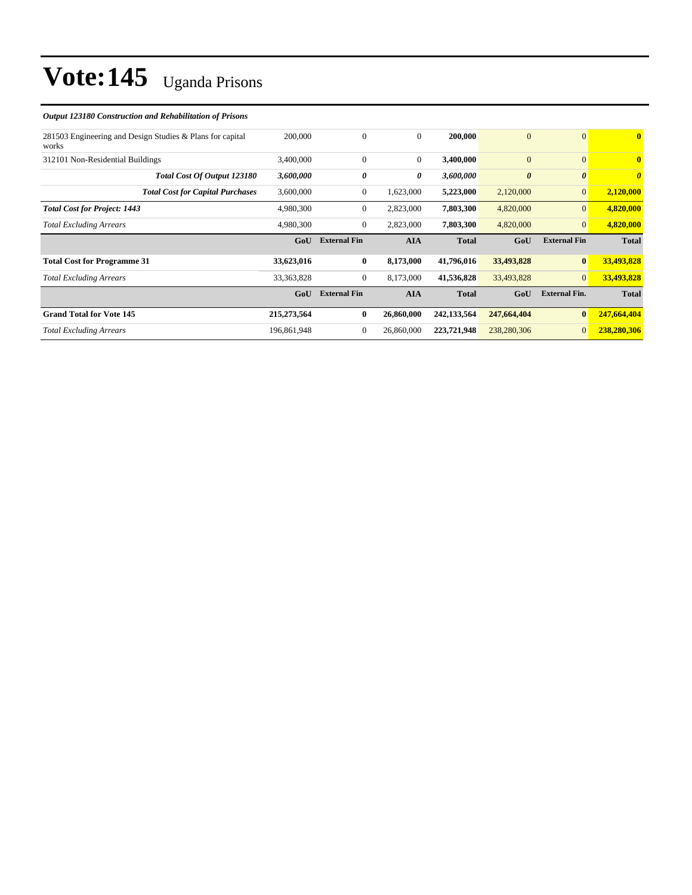| Output 123180 Construction and Rehabilitation of Prisons           |              |                     |                |               |                       |                       |                         |
|--------------------------------------------------------------------|--------------|---------------------|----------------|---------------|-----------------------|-----------------------|-------------------------|
| 281503 Engineering and Design Studies & Plans for capital<br>works | 200,000      | $\mathbf{0}$        | $\overline{0}$ | 200,000       | $\overline{0}$        | $\overline{0}$        | $\overline{\mathbf{0}}$ |
| 312101 Non-Residential Buildings                                   | 3,400,000    | $\theta$            | $\overline{0}$ | 3,400,000     | $\overline{0}$        | $\mathbf{0}$          | $\mathbf{0}$            |
| Total Cost Of Output 123180                                        | 3,600,000    | 0                   | 0              | 3,600,000     | $\boldsymbol{\theta}$ | $\boldsymbol{\theta}$ | $\boldsymbol{\theta}$   |
| <b>Total Cost for Capital Purchases</b>                            | 3,600,000    | $\mathbf{0}$        | 1,623,000      | 5,223,000     | 2,120,000             | $\mathbf{0}$          | 2,120,000               |
| <b>Total Cost for Project: 1443</b>                                | 4,980,300    | $\mathbf{0}$        | 2,823,000      | 7,803,300     | 4,820,000             | $\mathbf{0}$          | 4,820,000               |
| <b>Total Excluding Arrears</b>                                     | 4,980,300    | $\mathbf{0}$        | 2,823,000      | 7,803,300     | 4,820,000             | $\overline{0}$        | 4,820,000               |
|                                                                    | GoU          | <b>External Fin</b> | <b>AIA</b>     | <b>Total</b>  | GoU                   | <b>External Fin</b>   | <b>Total</b>            |
| <b>Total Cost for Programme 31</b>                                 | 33,623,016   | $\bf{0}$            | 8,173,000      | 41,796,016    | 33,493,828            | $\bf{0}$              | 33,493,828              |
| <b>Total Excluding Arrears</b>                                     | 33, 363, 828 | $\mathbf{0}$        | 8,173,000      | 41,536,828    | 33,493,828            | $\overline{0}$        | 33,493,828              |
|                                                                    | GoU          | <b>External Fin</b> | <b>AIA</b>     | <b>Total</b>  | GoU                   | <b>External Fin.</b>  | <b>Total</b>            |
| <b>Grand Total for Vote 145</b>                                    | 215,273,564  | $\bf{0}$            | 26,860,000     | 242, 133, 564 | 247,664,404           | $\bf{0}$              | 247,664,404             |
| <b>Total Excluding Arrears</b>                                     | 196,861,948  | $\boldsymbol{0}$    | 26,860,000     | 223,721,948   | 238,280,306           | $\mathbf{0}$          | 238,280,306             |